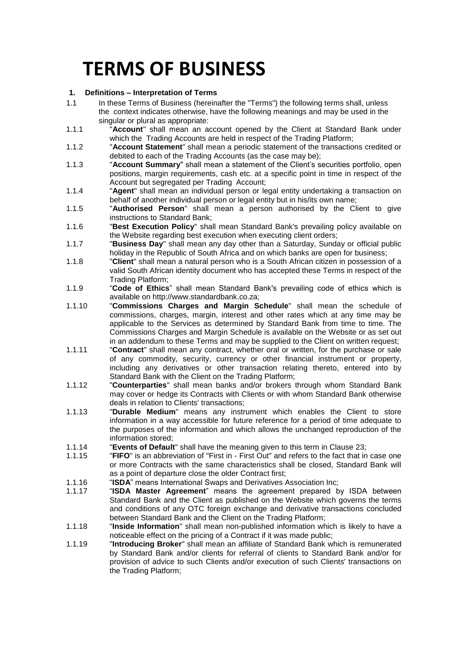# **TERMS OF BUSINESS**

# **1. Definitions – Interpretation of Terms**

- 1.1 In these Terms of Business (hereinafter the "Terms") the following terms shall, unless the context indicates otherwise, have the following meanings and may be used in the singular or plural as appropriate:
- 1.1.1 "**Account**" shall mean an account opened by the Client at Standard Bank under which the Trading Accounts are held in respect of the Trading Platform;
- 1.1.2 "**Account Statement**" shall mean a periodic statement of the transactions credited or debited to each of the Trading Accounts (as the case may be);
- 1.1.3 "**Account Summary**" shall mean a statement of the Client's securities portfolio, open positions, margin requirements, cash etc. at a specific point in time in respect of the Account but segregated per Trading Account;
- 1.1.4 "**Agent**" shall mean an individual person or legal entity undertaking a transaction on behalf of another individual person or legal entity but in his/its own name:
- 1.1.5 "**Authorised Person**" shall mean a person authorised by the Client to give instructions to Standard Bank;
- 1.1.6 "**Best Execution Policy**" shall mean Standard Bank's prevailing policy available on the Website regarding best execution when executing client orders;
- 1.1.7 "**Business Day**" shall mean any day other than a Saturday, Sunday or official public holiday in the Republic of South Africa and on which banks are open for business;
- 1.1.8 "**Client**" shall mean a natural person who is a South African citizen in possession of a valid South African identity document who has accepted these Terms in respect of the Trading Platform;
- 1.1.9 "**Code of Ethics**" shall mean Standard Bank's prevailing code of ethics which is available on http://www.standardbank.co.za;
- 1.1.10 "**Commissions Charges and Margin Schedule**" shall mean the schedule of commissions, charges, margin, interest and other rates which at any time may be applicable to the Services as determined by Standard Bank from time to time. The Commissions Charges and Margin Schedule is available on the Website or as set out in an addendum to these Terms and may be supplied to the Client on written request;
- 1.1.11 "**Contract**" shall mean any contract, whether oral or written, for the purchase or sale of any commodity, security, currency or other financial instrument or property, including any derivatives or other transaction relating thereto, entered into by Standard Bank with the Client on the Trading Platform;
- 1.1.12 "**Counterparties**" shall mean banks and/or brokers through whom Standard Bank may cover or hedge its Contracts with Clients or with whom Standard Bank otherwise deals in relation to Clients' transactions;
- 1.1.13 "**Durable Medium**" means any instrument which enables the Client to store information in a way accessible for future reference for a period of time adequate to the purposes of the information and which allows the unchanged reproduction of the information stored;
- 1.1.14 "**Events of Default**" shall have the meaning given to this term in Clause [23;](#page-17-0)
- 1.1.15 "**FIFO**" is an abbreviation of "First in First Out" and refers to the fact that in case one or more Contracts with the same characteristics shall be closed, Standard Bank will as a point of departure close the older Contract first;
- 1.1.16 "**ISDA**" means International Swaps and Derivatives Association Inc;
- 1.1.17 "**ISDA Master Agreement**" means the agreement prepared by ISDA between Standard Bank and the Client as published on the Website which governs the terms and conditions of any OTC foreign exchange and derivative transactions concluded between Standard Bank and the Client on the Trading Platform;
- 1.1.18 "**Inside Information**" shall mean non-published information which is likely to have a noticeable effect on the pricing of a Contract if it was made public;
- 1.1.19 "**Introducing Broker**" shall mean an affiliate of Standard Bank which is remunerated by Standard Bank and/or clients for referral of clients to Standard Bank and/or for provision of advice to such Clients and/or execution of such Clients' transactions on the Trading Platform;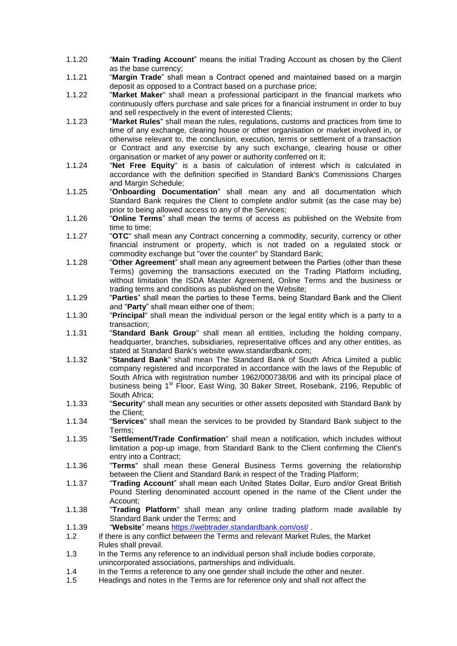- 1.1.20 "**Main Trading Account**" means the initial Trading Account as chosen by the Client as the base currency;
- 1.1.21 "**Margin Trade**" shall mean a Contract opened and maintained based on a margin deposit as opposed to a Contract based on a purchase price;
- 1.1.22 "**Market Maker**" shall mean a professional participant in the financial markets who continuously offers purchase and sale prices for a financial instrument in order to buy and sell respectively in the event of interested Clients;
- 1.1.23 "**Market Rules**" shall mean the rules, regulations, customs and practices from time to time of any exchange, clearing house or other organisation or market involved in, or otherwise relevant to, the conclusion, execution, terms or settlement of a transaction or Contract and any exercise by any such exchange, clearing house or other organisation or market of any power or authority conferred on it;
- 1.1.24 "**Net Free Equity**" is a basis of calculation of interest which is calculated in accordance with the definition specified in Standard Bank's Commissions Charges and Margin Schedule;
- 1.1.25 "**Onboarding Documentation**" shall mean any and all documentation which Standard Bank requires the Client to complete and/or submit (as the case may be) prior to being allowed access to any of the Services;
- 1.1.26 "**Online Terms**" shall mean the terms of access as published on the Website from time to time;
- 1.1.27 "**OTC**" shall mean any Contract concerning a commodity, security, currency or other financial instrument or property, which is not traded on a regulated stock or commodity exchange but "over the counter" by Standard Bank;
- 1.1.28 "**Other Agreement**" shall mean any agreement between the Parties (other than these Terms) governing the transactions executed on the Trading Platform including, without limitation the ISDA Master Agreement, Online Terms and the business or trading terms and conditions as published on the Website;
- 1.1.29 "**Parties**" shall mean the parties to these Terms, being Standard Bank and the Client and "**Party**" shall mean either one of them;
- 1.1.30 "**Principal**" shall mean the individual person or the legal entity which is a party to a transaction;
- 1.1.31 "**Standard Bank Group**" shall mean all entities, including the holding company, headquarter, branches, subsidiaries, representative offices and any other entities, as stated at Standard Bank's website www.standardbank.com;
- 1.1.32 "**Standard Bank**" shall mean The Standard Bank of South Africa Limited a public company registered and incorporated in accordance with the laws of the Republic of South Africa with registration number 1962/000738/06 and with its principal place of business being 1<sup>st</sup> Floor, East Wing, 30 Baker Street, Rosebank, 2196, Republic of South Africa;
- 1.1.33 "**Security**" shall mean any securities or other assets deposited with Standard Bank by the Client;
- 1.1.34 "**Services**" shall mean the services to be provided by Standard Bank subject to the Terms;
- 1.1.35 "**Settlement/Trade Confirmation**" shall mean a notification, which includes without limitation a pop-up image, from Standard Bank to the Client confirming the Client's entry into a Contract;
- 1.1.36 "**Terms**" shall mean these General Business Terms governing the relationship between the Client and Standard Bank in respect of the Trading Platform;
- 1.1.37 "**Trading Account**" shall mean each United States Dollar, Euro and/or Great British Pound Sterling denominated account opened in the name of the Client under the Account;
- 1.1.38 "**Trading Platform**" shall mean any online trading platform made available by Standard Bank under the Terms; and
- 1.1.39 "**Website**" means<https://webtrader.standardbank.com/ost/> .
- 1.2 If there is any conflict between the Terms and relevant Market Rules, the Market Rules shall prevail.
- 1.3 In the Terms any reference to an individual person shall include bodies corporate, unincorporated associations, partnerships and individuals.
- 1.4 In the Terms a reference to any one gender shall include the other and neuter.
- 1.5 Headings and notes in the Terms are for reference only and shall not affect the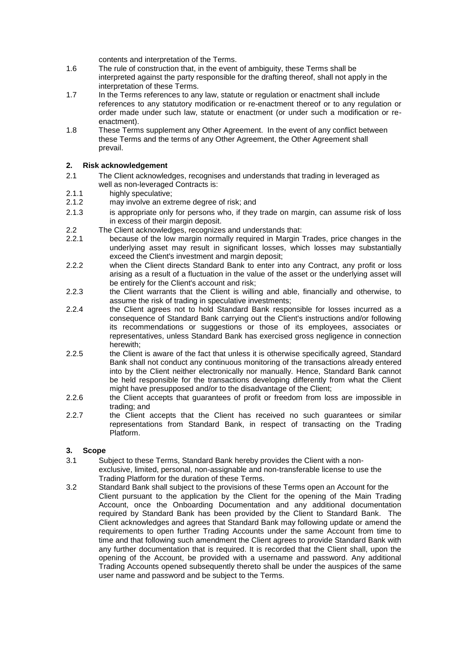contents and interpretation of the Terms.

- 1.6 The rule of construction that, in the event of ambiguity, these Terms shall be interpreted against the party responsible for the drafting thereof, shall not apply in the interpretation of these Terms.
- 1.7 In the Terms references to any law, statute or regulation or enactment shall include references to any statutory modification or re-enactment thereof or to any regulation or order made under such law, statute or enactment (or under such a modification or reenactment).
- 1.8 These Terms supplement any Other Agreement. In the event of any conflict between these Terms and the terms of any Other Agreement, the Other Agreement shall prevail.

## **2. Risk acknowledgement**

- 2.1 The Client acknowledges, recognises and understands that trading in leveraged as well as non-leveraged Contracts is:
- 2.1.1 highly speculative;
- 2.1.2 may involve an extreme degree of risk; and
- 2.1.3 is appropriate only for persons who, if they trade on margin, can assume risk of loss in excess of their margin deposit.
- 2.2 The Client acknowledges, recognizes and understands that:
- 2.2.1 because of the low margin normally required in Margin Trades, price changes in the underlying asset may result in significant losses, which losses may substantially exceed the Client's investment and margin deposit;
- 2.2.2 when the Client directs Standard Bank to enter into any Contract, any profit or loss arising as a result of a fluctuation in the value of the asset or the underlying asset will be entirely for the Client's account and risk;
- 2.2.3 the Client warrants that the Client is willing and able, financially and otherwise, to assume the risk of trading in speculative investments;
- 2.2.4 the Client agrees not to hold Standard Bank responsible for losses incurred as a consequence of Standard Bank carrying out the Client's instructions and/or following its recommendations or suggestions or those of its employees, associates or representatives, unless Standard Bank has exercised gross negligence in connection herewith;
- 2.2.5 the Client is aware of the fact that unless it is otherwise specifically agreed, Standard Bank shall not conduct any continuous monitoring of the transactions already entered into by the Client neither electronically nor manually. Hence, Standard Bank cannot be held responsible for the transactions developing differently from what the Client might have presupposed and/or to the disadvantage of the Client;
- 2.2.6 the Client accepts that guarantees of profit or freedom from loss are impossible in trading; and
- 2.2.7 the Client accepts that the Client has received no such guarantees or similar representations from Standard Bank, in respect of transacting on the Trading Platform.

## **3. Scope**

- 3.1 Subject to these Terms, Standard Bank hereby provides the Client with a nonexclusive, limited, personal, non-assignable and non-transferable license to use the Trading Platform for the duration of these Terms.
- 3.2 Standard Bank shall subject to the provisions of these Terms open an Account for the Client pursuant to the application by the Client for the opening of the Main Trading Account, once the Onboarding Documentation and any additional documentation required by Standard Bank has been provided by the Client to Standard Bank. The Client acknowledges and agrees that Standard Bank may following update or amend the requirements to open further Trading Accounts under the same Account from time to time and that following such amendment the Client agrees to provide Standard Bank with any further documentation that is required. It is recorded that the Client shall, upon the opening of the Account, be provided with a username and password. Any additional Trading Accounts opened subsequently thereto shall be under the auspices of the same user name and password and be subject to the Terms.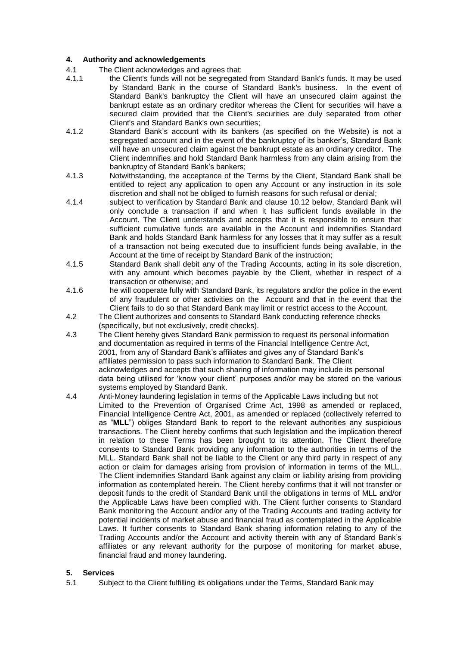## **4. Authority and acknowledgements**

- 4.1 The Client acknowledges and agrees that:
- 4.1.1 the Client's funds will not be segregated from Standard Bank's funds. It may be used by Standard Bank in the course of Standard Bank's business. In the event of Standard Bank's bankruptcy the Client will have an unsecured claim against the bankrupt estate as an ordinary creditor whereas the Client for securities will have a secured claim provided that the Client's securities are duly separated from other Client's and Standard Bank's own securities;
- 4.1.2 Standard Bank's account with its bankers (as specified on the Website) is not a segregated account and in the event of the bankruptcy of its banker's, Standard Bank will have an unsecured claim against the bankrupt estate as an ordinary creditor. The Client indemnifies and hold Standard Bank harmless from any claim arising from the bankruptcy of Standard Bank's bankers;
- 4.1.3 Notwithstanding, the acceptance of the Terms by the Client, Standard Bank shall be entitled to reject any application to open any Account or any instruction in its sole discretion and shall not be obliged to furnish reasons for such refusal or denial;
- 4.1.4 subject to verification by Standard Bank and clause [10.12](#page-10-0) below, Standard Bank will only conclude a transaction if and when it has sufficient funds available in the Account. The Client understands and accepts that it is responsible to ensure that sufficient cumulative funds are available in the Account and indemnifies Standard Bank and holds Standard Bank harmless for any losses that it may suffer as a result of a transaction not being executed due to insufficient funds being available, in the Account at the time of receipt by Standard Bank of the instruction;
- 4.1.5 Standard Bank shall debit any of the Trading Accounts, acting in its sole discretion, with any amount which becomes payable by the Client, whether in respect of a transaction or otherwise; and
- 4.1.6 he will cooperate fully with Standard Bank, its regulators and/or the police in the event of any fraudulent or other activities on the Account and that in the event that the Client fails to do so that Standard Bank may limit or restrict access to the Account.
- 4.2 The Client authorizes and consents to Standard Bank conducting reference checks (specifically, but not exclusively, credit checks).
- 4.3 The Client hereby gives Standard Bank permission to request its personal information and documentation as required in terms of the Financial Intelligence Centre Act, 2001, from any of Standard Bank's affiliates and gives any of Standard Bank's affiliates permission to pass such information to Standard Bank. The Client acknowledges and accepts that such sharing of information may include its personal data being utilised for 'know your client' purposes and/or may be stored on the various systems employed by Standard Bank.
- 4.4 Anti-Money laundering legislation in terms of the Applicable Laws including but not Limited to the Prevention of Organised Crime Act, 1998 as amended or replaced, Financial Intelligence Centre Act, 2001, as amended or replaced (collectively referred to as "**MLL**") obliges Standard Bank to report to the relevant authorities any suspicious transactions. The Client hereby confirms that such legislation and the implication thereof in relation to these Terms has been brought to its attention. The Client therefore consents to Standard Bank providing any information to the authorities in terms of the MLL. Standard Bank shall not be liable to the Client or any third party in respect of any action or claim for damages arising from provision of information in terms of the MLL. The Client indemnifies Standard Bank against any claim or liability arising from providing information as contemplated herein. The Client hereby confirms that it will not transfer or deposit funds to the credit of Standard Bank until the obligations in terms of MLL and/or the Applicable Laws have been complied with. The Client further consents to Standard Bank monitoring the Account and/or any of the Trading Accounts and trading activity for potential incidents of market abuse and financial fraud as contemplated in the Applicable Laws. It further consents to Standard Bank sharing information relating to any of the Trading Accounts and/or the Account and activity therein with any of Standard Bank's affiliates or any relevant authority for the purpose of monitoring for market abuse, financial fraud and money laundering.

## **5. Services**

5.1 Subject to the Client fulfilling its obligations under the Terms, Standard Bank may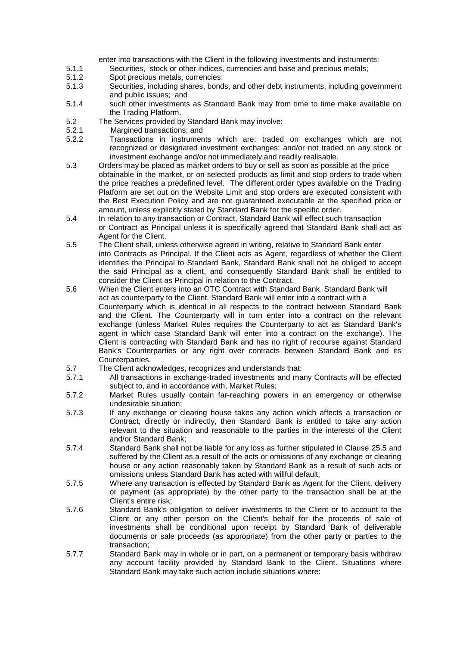enter into transactions with the Client in the following investments and instruments:

- 5.1.1 Securities, stock or other indices, currencies and base and precious metals;
- 5.1.2 Spot precious metals, currencies;
- 5.1.3 Securities, including shares, bonds, and other debt instruments, including government and public issues; and
- 5.1.4 such other investments as Standard Bank may from time to time make available on the Trading Platform.
- 5.2 The Services provided by Standard Bank may involve:<br>5.2.1 Margined transactions: and
- 5.2.1 Margined transactions; and<br>5.2.2 Transactions in instrumer
- 5.2.2 Transactions in instruments which are: traded on exchanges which are not recognized or designated investment exchanges; and/or not traded on any stock or investment exchange and/or not immediately and readily realisable.
- 5.3 Orders may be placed as market orders to buy or sell as soon as possible at the price obtainable in the market, or on selected products as limit and stop orders to trade when the price reaches a predefined level. The different order types available on the Trading Platform are set out on the Website Limit and stop orders are executed consistent with the Best Execution Policy and are not guaranteed executable at the specified price or amount, unless explicitly stated by Standard Bank for the specific order.
- 5.4 In relation to any transaction or Contract, Standard Bank will effect such transaction or Contract as Principal unless it is specifically agreed that Standard Bank shall act as Agent for the Client.
- 5.5 The Client shall, unless otherwise agreed in writing, relative to Standard Bank enter into Contracts as Principal. If the Client acts as Agent, regardless of whether the Client identifies the Principal to Standard Bank, Standard Bank shall not be obliged to accept the said Principal as a client, and consequently Standard Bank shall be entitled to consider the Client as Principal in relation to the Contract.
- 5.6 When the Client enters into an OTC Contract with Standard Bank, Standard Bank will act as counterparty to the Client. Standard Bank will enter into a contract with a Counterparty which is identical in all respects to the contract between Standard Bank and the Client. The Counterparty will in turn enter into a contract on the relevant exchange (unless Market Rules requires the Counterparty to act as Standard Bank's agent in which case Standard Bank will enter into a contract on the exchange). The Client is contracting with Standard Bank and has no right of recourse against Standard Bank's Counterparties or any right over contracts between Standard Bank and its Counterparties.
- 5.7 The Client acknowledges, recognizes and understands that:
- 5.7.1 All transactions in exchange-traded investments and many Contracts will be effected subject to, and in accordance with, Market Rules;
- 5.7.2 Market Rules usually contain far-reaching powers in an emergency or otherwise undesirable situation;
- 5.7.3 If any exchange or clearing house takes any action which affects a transaction or Contract, directly or indirectly, then Standard Bank is entitled to take any action relevant to the situation and reasonable to the parties in the interests of the Client and/or Standard Bank;
- 5.7.4 Standard Bank shall not be liable for any loss as further stipulated in Clause [25.5](#page-19-0) and suffered by the Client as a result of the acts or omissions of any exchange or clearing house or any action reasonably taken by Standard Bank as a result of such acts or omissions unless Standard Bank has acted with willful default;
- 5.7.5 Where any transaction is effected by Standard Bank as Agent for the Client, delivery or payment (as appropriate) by the other party to the transaction shall be at the Client's entire risk;
- 5.7.6 Standard Bank's obligation to deliver investments to the Client or to account to the Client or any other person on the Client's behalf for the proceeds of sale of investments shall be conditional upon receipt by Standard Bank of deliverable documents or sale proceeds (as appropriate) from the other party or parties to the transaction;
- 5.7.7 Standard Bank may in whole or in part, on a permanent or temporary basis withdraw any account facility provided by Standard Bank to the Client. Situations where Standard Bank may take such action include situations where: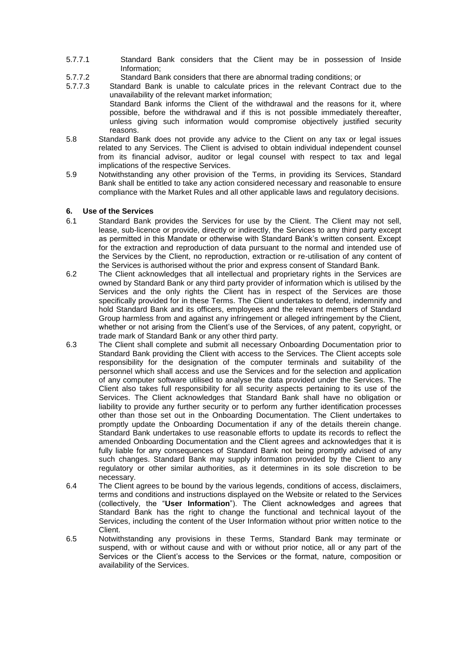- 5.7.7.1 Standard Bank considers that the Client may be in possession of Inside Information;
- 5.7.7.2 Standard Bank considers that there are abnormal trading conditions; or
- 5.7.7.3 Standard Bank is unable to calculate prices in the relevant Contract due to the unavailability of the relevant market information; Standard Bank informs the Client of the withdrawal and the reasons for it, where possible, before the withdrawal and if this is not possible immediately thereafter, unless giving such information would compromise objectively justified security
- reasons. 5.8 Standard Bank does not provide any advice to the Client on any tax or legal issues related to any Services. The Client is advised to obtain individual independent counsel from its financial advisor, auditor or legal counsel with respect to tax and legal implications of the respective Services.
- 5.9 Notwithstanding any other provision of the Terms, in providing its Services, Standard Bank shall be entitled to take any action considered necessary and reasonable to ensure compliance with the Market Rules and all other applicable laws and regulatory decisions.

## **6. Use of the Services**

- 6.1 Standard Bank provides the Services for use by the Client. The Client may not sell, lease, sub-licence or provide, directly or indirectly, the Services to any third party except as permitted in this Mandate or otherwise with Standard Bank's written consent. Except for the extraction and reproduction of data pursuant to the normal and intended use of the Services by the Client, no reproduction, extraction or re-utilisation of any content of the Services is authorised without the prior and express consent of Standard Bank.
- 6.2 The Client acknowledges that all intellectual and proprietary rights in the Services are owned by Standard Bank or any third party provider of information which is utilised by the Services and the only rights the Client has in respect of the Services are those specifically provided for in these Terms. The Client undertakes to defend, indemnify and hold Standard Bank and its officers, employees and the relevant members of Standard Group harmless from and against any infringement or alleged infringement by the Client, whether or not arising from the Client's use of the Services, of any patent, copyright, or trade mark of Standard Bank or any other third party.
- 6.3 The Client shall complete and submit all necessary Onboarding Documentation prior to Standard Bank providing the Client with access to the Services. The Client accepts sole responsibility for the designation of the computer terminals and suitability of the personnel which shall access and use the Services and for the selection and application of any computer software utilised to analyse the data provided under the Services. The Client also takes full responsibility for all security aspects pertaining to its use of the Services. The Client acknowledges that Standard Bank shall have no obligation or liability to provide any further security or to perform any further identification processes other than those set out in the Onboarding Documentation. The Client undertakes to promptly update the Onboarding Documentation if any of the details therein change. Standard Bank undertakes to use reasonable efforts to update its records to reflect the amended Onboarding Documentation and the Client agrees and acknowledges that it is fully liable for any consequences of Standard Bank not being promptly advised of any such changes. Standard Bank may supply information provided by the Client to any regulatory or other similar authorities, as it determines in its sole discretion to be necessary.
- 6.4 The Client agrees to be bound by the various legends, conditions of access, disclaimers, terms and conditions and instructions displayed on the Website or related to the Services (collectively, the "**User Information**"). The Client acknowledges and agrees that Standard Bank has the right to change the functional and technical layout of the Services, including the content of the User Information without prior written notice to the Client.
- 6.5 Notwithstanding any provisions in these Terms, Standard Bank may terminate or suspend, with or without cause and with or without prior notice, all or any part of the Services or the Client's access to the Services or the format, nature, composition or availability of the Services.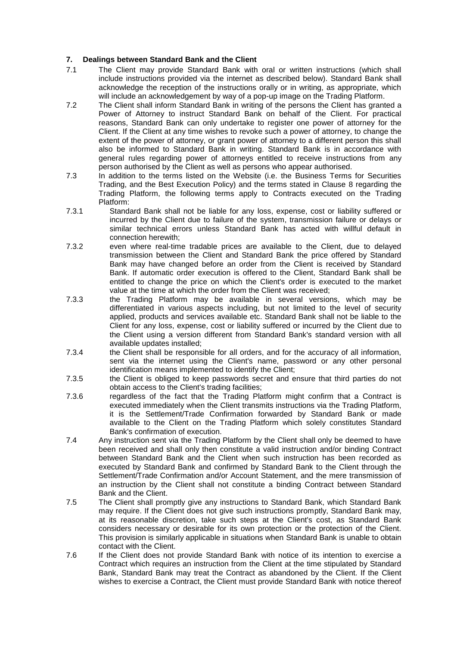## **7. Dealings between Standard Bank and the Client**

- 7.1 The Client may provide Standard Bank with oral or written instructions (which shall include instructions provided via the internet as described below). Standard Bank shall acknowledge the reception of the instructions orally or in writing, as appropriate, which will include an acknowledgement by way of a pop-up image on the Trading Platform.
- 7.2 The Client shall inform Standard Bank in writing of the persons the Client has granted a Power of Attorney to instruct Standard Bank on behalf of the Client. For practical reasons, Standard Bank can only undertake to register one power of attorney for the Client. If the Client at any time wishes to revoke such a power of attorney, to change the extent of the power of attorney, or grant power of attorney to a different person this shall also be informed to Standard Bank in writing. Standard Bank is in accordance with general rules regarding power of attorneys entitled to receive instructions from any person authorised by the Client as well as persons who appear authorised.
- 7.3 In addition to the terms listed on the Website (i.e. the Business Terms for Securities Trading, and the Best Execution Policy) and the terms stated in Clause [8](#page-8-0) regarding the Trading Platform, the following terms apply to Contracts executed on the Trading Platform:
- 7.3.1 Standard Bank shall not be liable for any loss, expense, cost or liability suffered or incurred by the Client due to failure of the system, transmission failure or delays or similar technical errors unless Standard Bank has acted with willful default in connection herewith;
- 7.3.2 even where real-time tradable prices are available to the Client, due to delayed transmission between the Client and Standard Bank the price offered by Standard Bank may have changed before an order from the Client is received by Standard Bank. If automatic order execution is offered to the Client, Standard Bank shall be entitled to change the price on which the Client's order is executed to the market value at the time at which the order from the Client was received;
- 7.3.3 the Trading Platform may be available in several versions, which may be differentiated in various aspects including, but not limited to the level of security applied, products and services available etc. Standard Bank shall not be liable to the Client for any loss, expense, cost or liability suffered or incurred by the Client due to the Client using a version different from Standard Bank's standard version with all available updates installed;
- 7.3.4 the Client shall be responsible for all orders, and for the accuracy of all information, sent via the internet using the Client's name, password or any other personal identification means implemented to identify the Client;
- 7.3.5 the Client is obliged to keep passwords secret and ensure that third parties do not obtain access to the Client's trading facilities;
- 7.3.6 regardless of the fact that the Trading Platform might confirm that a Contract is executed immediately when the Client transmits instructions via the Trading Platform, it is the Settlement/Trade Confirmation forwarded by Standard Bank or made available to the Client on the Trading Platform which solely constitutes Standard Bank's confirmation of execution.
- 7.4 Any instruction sent via the Trading Platform by the Client shall only be deemed to have been received and shall only then constitute a valid instruction and/or binding Contract between Standard Bank and the Client when such instruction has been recorded as executed by Standard Bank and confirmed by Standard Bank to the Client through the Settlement/Trade Confirmation and/or Account Statement, and the mere transmission of an instruction by the Client shall not constitute a binding Contract between Standard Bank and the Client.
- 7.5 The Client shall promptly give any instructions to Standard Bank, which Standard Bank may require. If the Client does not give such instructions promptly, Standard Bank may, at its reasonable discretion, take such steps at the Client's cost, as Standard Bank considers necessary or desirable for its own protection or the protection of the Client. This provision is similarly applicable in situations when Standard Bank is unable to obtain contact with the Client.
- 7.6 If the Client does not provide Standard Bank with notice of its intention to exercise a Contract which requires an instruction from the Client at the time stipulated by Standard Bank, Standard Bank may treat the Contract as abandoned by the Client. If the Client wishes to exercise a Contract, the Client must provide Standard Bank with notice thereof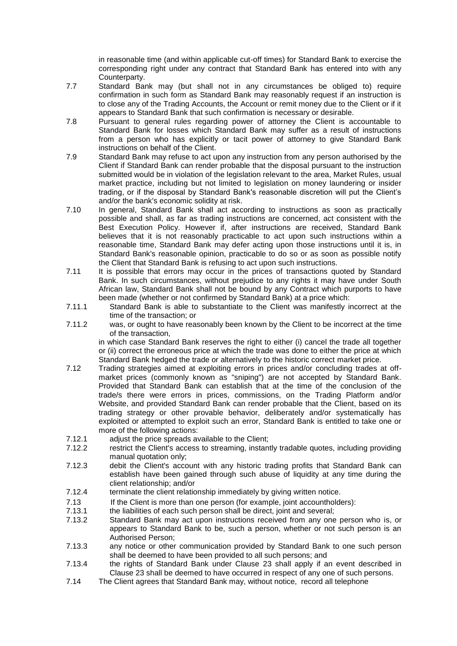in reasonable time (and within applicable cut-off times) for Standard Bank to exercise the corresponding right under any contract that Standard Bank has entered into with any Counterparty.

- 7.7 Standard Bank may (but shall not in any circumstances be obliged to) require confirmation in such form as Standard Bank may reasonably request if an instruction is to close any of the Trading Accounts, the Account or remit money due to the Client or if it appears to Standard Bank that such confirmation is necessary or desirable.
- 7.8 Pursuant to general rules regarding power of attorney the Client is accountable to Standard Bank for losses which Standard Bank may suffer as a result of instructions from a person who has explicitly or tacit power of attorney to give Standard Bank instructions on behalf of the Client.
- 7.9 Standard Bank may refuse to act upon any instruction from any person authorised by the Client if Standard Bank can render probable that the disposal pursuant to the instruction submitted would be in violation of the legislation relevant to the area. Market Rules, usual market practice, including but not limited to legislation on money laundering or insider trading, or if the disposal by Standard Bank's reasonable discretion will put the Client's and/or the bank's economic solidity at risk.
- 7.10 In general, Standard Bank shall act according to instructions as soon as practically possible and shall, as far as trading instructions are concerned, act consistent with the Best Execution Policy. However if, after instructions are received, Standard Bank believes that it is not reasonably practicable to act upon such instructions within a reasonable time, Standard Bank may defer acting upon those instructions until it is, in Standard Bank's reasonable opinion, practicable to do so or as soon as possible notify the Client that Standard Bank is refusing to act upon such instructions.
- 7.11 It is possible that errors may occur in the prices of transactions quoted by Standard Bank. In such circumstances, without prejudice to any rights it may have under South African law, Standard Bank shall not be bound by any Contract which purports to have been made (whether or not confirmed by Standard Bank) at a price which:
- 7.11.1 Standard Bank is able to substantiate to the Client was manifestly incorrect at the time of the transaction; or
- 7.11.2 was, or ought to have reasonably been known by the Client to be incorrect at the time of the transaction,

in which case Standard Bank reserves the right to either (i) cancel the trade all together or (ii) correct the erroneous price at which the trade was done to either the price at which Standard Bank hedged the trade or alternatively to the historic correct market price.

- 7.12 Trading strategies aimed at exploiting errors in prices and/or concluding trades at offmarket prices (commonly known as "sniping") are not accepted by Standard Bank. Provided that Standard Bank can establish that at the time of the conclusion of the trade/s there were errors in prices, commissions, on the Trading Platform and/or Website, and provided Standard Bank can render probable that the Client, based on its trading strategy or other provable behavior, deliberately and/or systematically has exploited or attempted to exploit such an error, Standard Bank is entitled to take one or more of the following actions:
- 7.12.1 adjust the price spreads available to the Client;
- 7.12.2 restrict the Client's access to streaming, instantly tradable quotes, including providing manual quotation only;
- 7.12.3 debit the Client's account with any historic trading profits that Standard Bank can establish have been gained through such abuse of liquidity at any time during the client relationship; and/or
- 7.12.4 terminate the client relationship immediately by giving written notice.
- 7.13 If the Client is more than one person (for example, joint accountholders):
- 7.13.1 the liabilities of each such person shall be direct, joint and several;
- 7.13.2 Standard Bank may act upon instructions received from any one person who is, or appears to Standard Bank to be, such a person, whether or not such person is an Authorised Person;
- 7.13.3 any notice or other communication provided by Standard Bank to one such person shall be deemed to have been provided to all such persons; and
- 7.13.4 the rights of Standard Bank under Clause [23](#page-17-0) shall apply if an event described in Clause [23](#page-17-0) shall be deemed to have occurred in respect of any one of such persons.
- 7.14 The Client agrees that Standard Bank may, without notice, record all telephone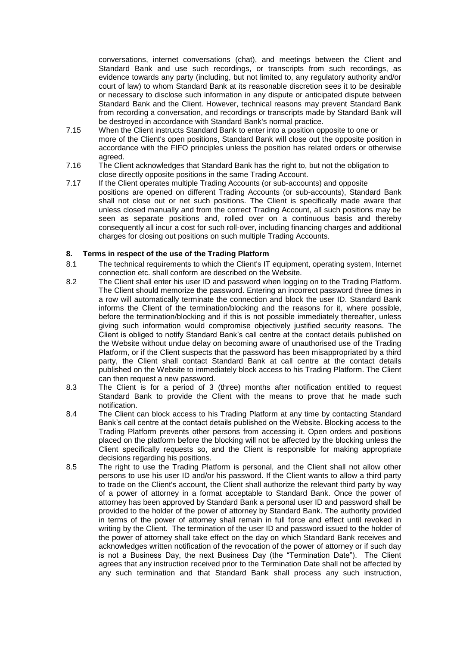conversations, internet conversations (chat), and meetings between the Client and Standard Bank and use such recordings, or transcripts from such recordings, as evidence towards any party (including, but not limited to, any regulatory authority and/or court of law) to whom Standard Bank at its reasonable discretion sees it to be desirable or necessary to disclose such information in any dispute or anticipated dispute between Standard Bank and the Client. However, technical reasons may prevent Standard Bank from recording a conversation, and recordings or transcripts made by Standard Bank will be destroyed in accordance with Standard Bank's normal practice.

- 7.15 When the Client instructs Standard Bank to enter into a position opposite to one or more of the Client's open positions, Standard Bank will close out the opposite position in accordance with the FIFO principles unless the position has related orders or otherwise agreed.
- 7.16 The Client acknowledges that Standard Bank has the right to, but not the obligation to close directly opposite positions in the same Trading Account.
- 7.17 If the Client operates multiple Trading Accounts (or sub-accounts) and opposite positions are opened on different Trading Accounts (or sub-accounts), Standard Bank shall not close out or net such positions. The Client is specifically made aware that unless closed manually and from the correct Trading Account, all such positions may be seen as separate positions and, rolled over on a continuous basis and thereby consequently all incur a cost for such roll-over, including financing charges and additional charges for closing out positions on such multiple Trading Accounts.

## <span id="page-8-0"></span>**8. Terms in respect of the use of the Trading Platform**

- 8.1 The technical requirements to which the Client's IT equipment, operating system, Internet connection etc. shall conform are described on the Website.
- 8.2 The Client shall enter his user ID and password when logging on to the Trading Platform. The Client should memorize the password. Entering an incorrect password three times in a row will automatically terminate the connection and block the user ID. Standard Bank informs the Client of the termination/blocking and the reasons for it, where possible, before the termination/blocking and if this is not possible immediately thereafter, unless giving such information would compromise objectively justified security reasons. The Client is obliged to notify Standard Bank's call centre at the contact details published on the Website without undue delay on becoming aware of unauthorised use of the Trading Platform, or if the Client suspects that the password has been misappropriated by a third party, the Client shall contact Standard Bank at call centre at the contact details published on the Website to immediately block access to his Trading Platform. The Client can then request a new password.
- 8.3 The Client is for a period of 3 (three) months after notification entitled to request Standard Bank to provide the Client with the means to prove that he made such notification.
- 8.4 The Client can block access to his Trading Platform at any time by contacting Standard Bank's call centre at the contact details published on the Website. Blocking access to the Trading Platform prevents other persons from accessing it. Open orders and positions placed on the platform before the blocking will not be affected by the blocking unless the Client specifically requests so, and the Client is responsible for making appropriate decisions regarding his positions.
- 8.5 The right to use the Trading Platform is personal, and the Client shall not allow other persons to use his user ID and/or his password. If the Client wants to allow a third party to trade on the Client's account, the Client shall authorize the relevant third party by way of a power of attorney in a format acceptable to Standard Bank. Once the power of attorney has been approved by Standard Bank a personal user ID and password shall be provided to the holder of the power of attorney by Standard Bank. The authority provided in terms of the power of attorney shall remain in full force and effect until revoked in writing by the Client. The termination of the user ID and password issued to the holder of the power of attorney shall take effect on the day on which Standard Bank receives and acknowledges written notification of the revocation of the power of attorney or if such day is not a Business Day, the next Business Day (the "Termination Date"). The Client agrees that any instruction received prior to the Termination Date shall not be affected by any such termination and that Standard Bank shall process any such instruction,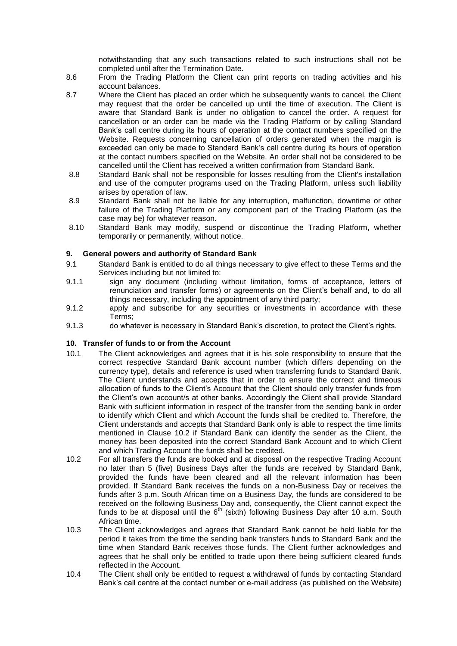notwithstanding that any such transactions related to such instructions shall not be completed until after the Termination Date.

- 8.6 From the Trading Platform the Client can print reports on trading activities and his account balances.
- 8.7 Where the Client has placed an order which he subsequently wants to cancel, the Client may request that the order be cancelled up until the time of execution. The Client is aware that Standard Bank is under no obligation to cancel the order. A request for cancellation or an order can be made via the Trading Platform or by calling Standard Bank's call centre during its hours of operation at the contact numbers specified on the Website. Requests concerning cancellation of orders generated when the margin is exceeded can only be made to Standard Bank's call centre during its hours of operation at the contact numbers specified on the Website. An order shall not be considered to be cancelled until the Client has received a written confirmation from Standard Bank.
- 8.8 Standard Bank shall not be responsible for losses resulting from the Client's installation and use of the computer programs used on the Trading Platform, unless such liability arises by operation of law.
- 8.9 Standard Bank shall not be liable for any interruption, malfunction, downtime or other failure of the Trading Platform or any component part of the Trading Platform (as the case may be) for whatever reason.
- 8.10 Standard Bank may modify, suspend or discontinue the Trading Platform, whether temporarily or permanently, without notice.

## **9. General powers and authority of Standard Bank**

- 9.1 Standard Bank is entitled to do all things necessary to give effect to these Terms and the Services including but not limited to:
- 9.1.1 sign any document (including without limitation, forms of acceptance, letters of renunciation and transfer forms) or agreements on the Client's behalf and, to do all things necessary, including the appointment of any third party;
- 9.1.2 apply and subscribe for any securities or investments in accordance with these Terms;
- 9.1.3 do whatever is necessary in Standard Bank's discretion, to protect the Client's rights.

## **10. Transfer of funds to or from the Account**

- 10.1 The Client acknowledges and agrees that it is his sole responsibility to ensure that the correct respective Standard Bank account number (which differs depending on the currency type), details and reference is used when transferring funds to Standard Bank. The Client understands and accepts that in order to ensure the correct and timeous allocation of funds to the Client's Account that the Client should only transfer funds from the Client's own account/s at other banks. Accordingly the Client shall provide Standard Bank with sufficient information in respect of the transfer from the sending bank in order to identify which Client and which Account the funds shall be credited to. Therefore, the Client understands and accepts that Standard Bank only is able to respect the time limits mentioned in Clause [10.2](#page-9-0) if Standard Bank can identify the sender as the Client, the money has been deposited into the correct Standard Bank Account and to which Client and which Trading Account the funds shall be credited.
- <span id="page-9-0"></span>10.2 For all transfers the funds are booked and at disposal on the respective Trading Account no later than 5 (five) Business Days after the funds are received by Standard Bank, provided the funds have been cleared and all the relevant information has been provided. If Standard Bank receives the funds on a non-Business Day or receives the funds after 3 p.m. South African time on a Business Day, the funds are considered to be received on the following Business Day and, consequently, the Client cannot expect the funds to be at disposal until the  $6<sup>th</sup>$  (sixth) following Business Day after 10 a.m. South African time.
- 10.3 The Client acknowledges and agrees that Standard Bank cannot be held liable for the period it takes from the time the sending bank transfers funds to Standard Bank and the time when Standard Bank receives those funds. The Client further acknowledges and agrees that he shall only be entitled to trade upon there being sufficient cleared funds reflected in the Account.
- 10.4 The Client shall only be entitled to request a withdrawal of funds by contacting Standard Bank's call centre at the contact number or e-mail address (as published on the Website)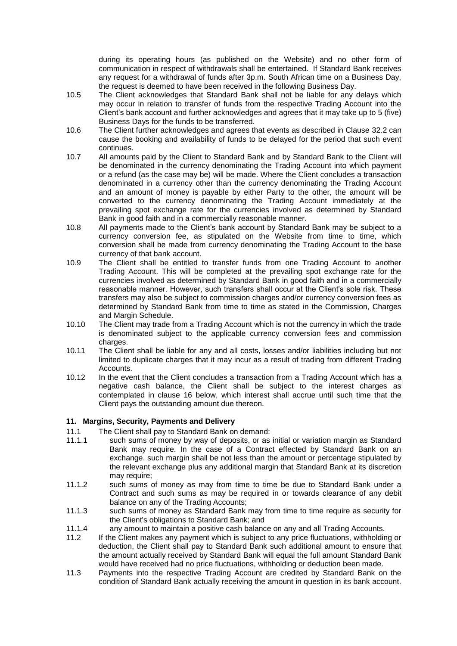during its operating hours (as published on the Website) and no other form of communication in respect of withdrawals shall be entertained. If Standard Bank receives any request for a withdrawal of funds after 3p.m. South African time on a Business Day, the request is deemed to have been received in the following Business Day.

- 10.5 The Client acknowledges that Standard Bank shall not be liable for any delays which may occur in relation to transfer of funds from the respective Trading Account into the Client's bank account and further acknowledges and agrees that it may take up to 5 (five) Business Days for the funds to be transferred.
- 10.6 The Client further acknowledges and agrees that events as described in Clause [32.2](#page-22-0) can cause the booking and availability of funds to be delayed for the period that such event continues.
- 10.7 All amounts paid by the Client to Standard Bank and by Standard Bank to the Client will be denominated in the currency denominating the Trading Account into which payment or a refund (as the case may be) will be made. Where the Client concludes a transaction denominated in a currency other than the currency denominating the Trading Account and an amount of money is payable by either Party to the other, the amount will be converted to the currency denominating the Trading Account immediately at the prevailing spot exchange rate for the currencies involved as determined by Standard Bank in good faith and in a commercially reasonable manner.
- 10.8 All payments made to the Client's bank account by Standard Bank may be subject to a currency conversion fee, as stipulated on the Website from time to time, which conversion shall be made from currency denominating the Trading Account to the base currency of that bank account.
- 10.9 The Client shall be entitled to transfer funds from one Trading Account to another Trading Account. This will be completed at the prevailing spot exchange rate for the currencies involved as determined by Standard Bank in good faith and in a commercially reasonable manner. However, such transfers shall occur at the Client's sole risk. These transfers may also be subject to commission charges and/or currency conversion fees as determined by Standard Bank from time to time as stated in the Commission, Charges and Margin Schedule.
- 10.10 The Client may trade from a Trading Account which is not the currency in which the trade is denominated subject to the applicable currency conversion fees and commission charges.
- 10.11 The Client shall be liable for any and all costs, losses and/or liabilities including but not limited to duplicate charges that it may incur as a result of trading from different Trading Accounts.
- <span id="page-10-0"></span>10.12 In the event that the Client concludes a transaction from a Trading Account which has a negative cash balance, the Client shall be subject to the interest charges as contemplated in clause [16](#page-14-0) below, which interest shall accrue until such time that the Client pays the outstanding amount due thereon.

## **11. Margins, Security, Payments and Delivery**

- 11.1 The Client shall pay to Standard Bank on demand:<br>11.1.1 such sums of money by way of deposits, or as
- such sums of money by way of deposits, or as initial or variation margin as Standard Bank may require. In the case of a Contract effected by Standard Bank on an exchange, such margin shall be not less than the amount or percentage stipulated by the relevant exchange plus any additional margin that Standard Bank at its discretion may require:
- 11.1.2 such sums of money as may from time to time be due to Standard Bank under a Contract and such sums as may be required in or towards clearance of any debit balance on any of the Trading Accounts;
- 11.1.3 such sums of money as Standard Bank may from time to time require as security for the Client's obligations to Standard Bank; and
- 11.1.4 any amount to maintain a positive cash balance on any and all Trading Accounts.
- 11.2 If the Client makes any payment which is subject to any price fluctuations, withholding or deduction, the Client shall pay to Standard Bank such additional amount to ensure that the amount actually received by Standard Bank will equal the full amount Standard Bank would have received had no price fluctuations, withholding or deduction been made.
- 11.3 Payments into the respective Trading Account are credited by Standard Bank on the condition of Standard Bank actually receiving the amount in question in its bank account.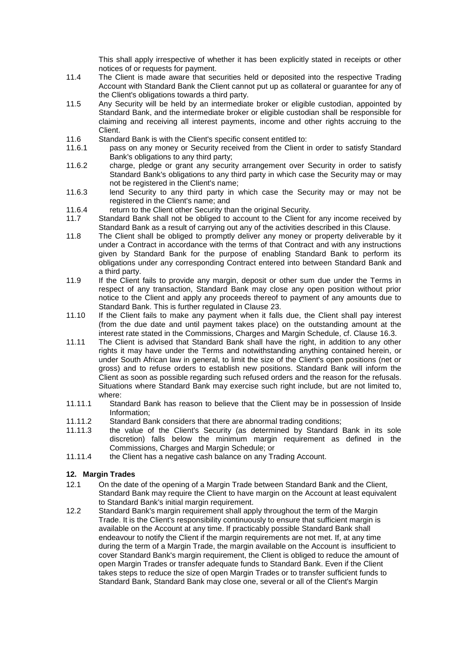This shall apply irrespective of whether it has been explicitly stated in receipts or other notices of or requests for payment.

- 11.4 The Client is made aware that securities held or deposited into the respective Trading Account with Standard Bank the Client cannot put up as collateral or guarantee for any of the Client's obligations towards a third party.
- 11.5 Any Security will be held by an intermediate broker or eligible custodian, appointed by Standard Bank, and the intermediate broker or eligible custodian shall be responsible for claiming and receiving all interest payments, income and other rights accruing to the Client.
- 11.6 Standard Bank is with the Client's specific consent entitled to:
- 11.6.1 pass on any money or Security received from the Client in order to satisfy Standard Bank's obligations to any third party;
- 11.6.2 charge, pledge or grant any security arrangement over Security in order to satisfy Standard Bank's obligations to any third party in which case the Security may or may not be registered in the Client's name;
- 11.6.3 lend Security to any third party in which case the Security may or may not be registered in the Client's name; and
- 11.6.4 return to the Client other Security than the original Security.
- 11.7 Standard Bank shall not be obliged to account to the Client for any income received by Standard Bank as a result of carrying out any of the activities described in this Clause.
- 11.8 The Client shall be obliged to promptly deliver any money or property deliverable by it under a Contract in accordance with the terms of that Contract and with any instructions given by Standard Bank for the purpose of enabling Standard Bank to perform its obligations under any corresponding Contract entered into between Standard Bank and a third party.
- 11.9 If the Client fails to provide any margin, deposit or other sum due under the Terms in respect of any transaction, Standard Bank may close any open position without prior notice to the Client and apply any proceeds thereof to payment of any amounts due to Standard Bank. This is further regulated in Clause [23.](#page-17-0)
- 11.10 If the Client fails to make any payment when it falls due, the Client shall pay interest (from the due date and until payment takes place) on the outstanding amount at the interest rate stated in the Commissions, Charges and Margin Schedule, cf. Clause [16.3.](#page-14-1)
- 11.11 The Client is advised that Standard Bank shall have the right, in addition to any other rights it may have under the Terms and notwithstanding anything contained herein, or under South African law in general, to limit the size of the Client's open positions (net or gross) and to refuse orders to establish new positions. Standard Bank will inform the Client as soon as possible regarding such refused orders and the reason for the refusals. Situations where Standard Bank may exercise such right include, but are not limited to, where:
- 11.11.1 Standard Bank has reason to believe that the Client may be in possession of Inside Information;
- 11.11.2 Standard Bank considers that there are abnormal trading conditions;
- 11.11.3 the value of the Client's Security (as determined by Standard Bank in its sole discretion) falls below the minimum margin requirement as defined in the Commissions, Charges and Margin Schedule; or
- 11.11.4 the Client has a negative cash balance on any Trading Account.

## <span id="page-11-0"></span>**12. Margin Trades**

- 12.1 On the date of the opening of a Margin Trade between Standard Bank and the Client, Standard Bank may require the Client to have margin on the Account at least equivalent to Standard Bank's initial margin requirement.
- 12.2 Standard Bank's margin requirement shall apply throughout the term of the Margin Trade. It is the Client's responsibility continuously to ensure that sufficient margin is available on the Account at any time. If practicably possible Standard Bank shall endeavour to notify the Client if the margin requirements are not met. If, at any time during the term of a Margin Trade, the margin available on the Account is insufficient to cover Standard Bank's margin requirement, the Client is obliged to reduce the amount of open Margin Trades or transfer adequate funds to Standard Bank. Even if the Client takes steps to reduce the size of open Margin Trades or to transfer sufficient funds to Standard Bank, Standard Bank may close one, several or all of the Client's Margin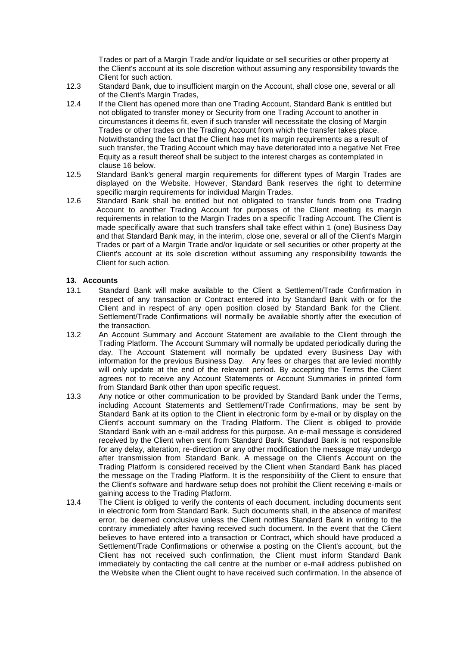Trades or part of a Margin Trade and/or liquidate or sell securities or other property at the Client's account at its sole discretion without assuming any responsibility towards the Client for such action.

- 12.3 Standard Bank, due to insufficient margin on the Account, shall close one, several or all of the Client's Margin Trades,
- 12.4 If the Client has opened more than one Trading Account, Standard Bank is entitled but not obligated to transfer money or Security from one Trading Account to another in circumstances it deems fit, even if such transfer will necessitate the closing of Margin Trades or other trades on the Trading Account from which the transfer takes place. Notwithstanding the fact that the Client has met its margin requirements as a result of such transfer, the Trading Account which may have deteriorated into a negative Net Free Equity as a result thereof shall be subject to the interest charges as contemplated in clause [16](#page-14-0) below.
- 12.5 Standard Bank's general margin requirements for different types of Margin Trades are displayed on the Website. However, Standard Bank reserves the right to determine specific margin requirements for individual Margin Trades.
- 12.6 Standard Bank shall be entitled but not obligated to transfer funds from one Trading Account to another Trading Account for purposes of the Client meeting its margin requirements in relation to the Margin Trades on a specific Trading Account. The Client is made specifically aware that such transfers shall take effect within 1 (one) Business Day and that Standard Bank may, in the interim, close one, several or all of the Client's Margin Trades or part of a Margin Trade and/or liquidate or sell securities or other property at the Client's account at its sole discretion without assuming any responsibility towards the Client for such action.

#### **13. Accounts**

- 13.1 Standard Bank will make available to the Client a Settlement/Trade Confirmation in respect of any transaction or Contract entered into by Standard Bank with or for the Client and in respect of any open position closed by Standard Bank for the Client. Settlement/Trade Confirmations will normally be available shortly after the execution of the transaction.
- 13.2 An Account Summary and Account Statement are available to the Client through the Trading Platform. The Account Summary will normally be updated periodically during the day. The Account Statement will normally be updated every Business Day with information for the previous Business Day. Any fees or charges that are levied monthly will only update at the end of the relevant period. By accepting the Terms the Client agrees not to receive any Account Statements or Account Summaries in printed form from Standard Bank other than upon specific request.
- 13.3 Any notice or other communication to be provided by Standard Bank under the Terms, including Account Statements and Settlement/Trade Confirmations, may be sent by Standard Bank at its option to the Client in electronic form by e-mail or by display on the Client's account summary on the Trading Platform. The Client is obliged to provide Standard Bank with an e-mail address for this purpose. An e-mail message is considered received by the Client when sent from Standard Bank. Standard Bank is not responsible for any delay, alteration, re-direction or any other modification the message may undergo after transmission from Standard Bank. A message on the Client's Account on the Trading Platform is considered received by the Client when Standard Bank has placed the message on the Trading Platform. It is the responsibility of the Client to ensure that the Client's software and hardware setup does not prohibit the Client receiving e-mails or gaining access to the Trading Platform.
- 13.4 The Client is obliged to verify the contents of each document, including documents sent in electronic form from Standard Bank. Such documents shall, in the absence of manifest error, be deemed conclusive unless the Client notifies Standard Bank in writing to the contrary immediately after having received such document. In the event that the Client believes to have entered into a transaction or Contract, which should have produced a Settlement/Trade Confirmations or otherwise a posting on the Client's account, but the Client has not received such confirmation, the Client must inform Standard Bank immediately by contacting the call centre at the number or e-mail address published on the Website when the Client ought to have received such confirmation. In the absence of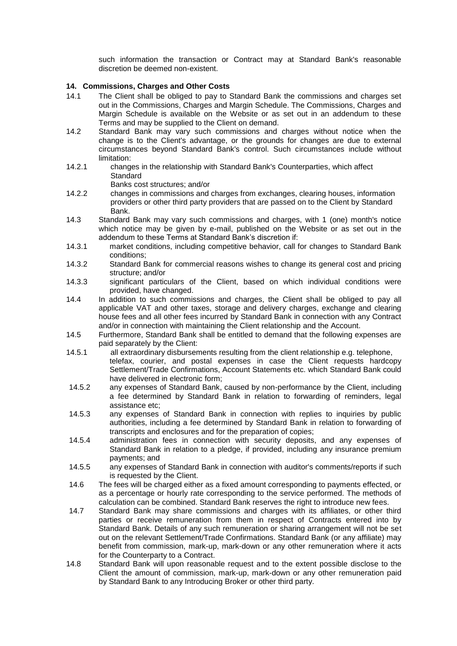such information the transaction or Contract may at Standard Bank's reasonable discretion be deemed non-existent.

## <span id="page-13-0"></span>**14. Commissions, Charges and Other Costs**

- 14.1 The Client shall be obliged to pay to Standard Bank the commissions and charges set out in the Commissions, Charges and Margin Schedule. The Commissions, Charges and Margin Schedule is available on the Website or as set out in an addendum to these Terms and may be supplied to the Client on demand.
- 14.2 Standard Bank may vary such commissions and charges without notice when the change is to the Client's advantage, or the grounds for changes are due to external circumstances beyond Standard Bank's control. Such circumstances include without limitation:
- 14.2.1 changes in the relationship with Standard Bank's Counterparties, which affect **Standard** 
	- Banks cost structures; and/or
- 14.2.2 changes in commissions and charges from exchanges, clearing houses, information providers or other third party providers that are passed on to the Client by Standard Bank.
- 14.3 Standard Bank may vary such commissions and charges, with 1 (one) month's notice which notice may be given by e-mail, published on the Website or as set out in the addendum to these Terms at Standard Bank's discretion if:
- 14.3.1 market conditions, including competitive behavior, call for changes to Standard Bank conditions;
- 14.3.2 Standard Bank for commercial reasons wishes to change its general cost and pricing structure; and/or
- 14.3.3 significant particulars of the Client, based on which individual conditions were provided, have changed.
- 14.4 In addition to such commissions and charges, the Client shall be obliged to pay all applicable VAT and other taxes, storage and delivery charges, exchange and clearing house fees and all other fees incurred by Standard Bank in connection with any Contract and/or in connection with maintaining the Client relationship and the Account.
- 14.5 Furthermore, Standard Bank shall be entitled to demand that the following expenses are paid separately by the Client:
- 14.5.1 all extraordinary disbursements resulting from the client relationship e.g. telephone, telefax, courier, and postal expenses in case the Client requests hardcopy Settlement/Trade Confirmations, Account Statements etc. which Standard Bank could have delivered in electronic form;
- 14.5.2 any expenses of Standard Bank, caused by non-performance by the Client, including a fee determined by Standard Bank in relation to forwarding of reminders, legal assistance etc;
- 14.5.3 any expenses of Standard Bank in connection with replies to inquiries by public authorities, including a fee determined by Standard Bank in relation to forwarding of transcripts and enclosures and for the preparation of copies;
- 14.5.4 administration fees in connection with security deposits, and any expenses of Standard Bank in relation to a pledge, if provided, including any insurance premium payments; and
- 14.5.5 any expenses of Standard Bank in connection with auditor's comments/reports if such is requested by the Client.
- 14.6 The fees will be charged either as a fixed amount corresponding to payments effected, or as a percentage or hourly rate corresponding to the service performed. The methods of calculation can be combined. Standard Bank reserves the right to introduce new fees.
- 14.7 Standard Bank may share commissions and charges with its affiliates, or other third parties or receive remuneration from them in respect of Contracts entered into by Standard Bank. Details of any such remuneration or sharing arrangement will not be set out on the relevant Settlement/Trade Confirmations. Standard Bank (or any affiliate) may benefit from commission, mark-up, mark-down or any other remuneration where it acts for the Counterparty to a Contract.
- 14.8 Standard Bank will upon reasonable request and to the extent possible disclose to the Client the amount of commission, mark-up, mark-down or any other remuneration paid by Standard Bank to any Introducing Broker or other third party.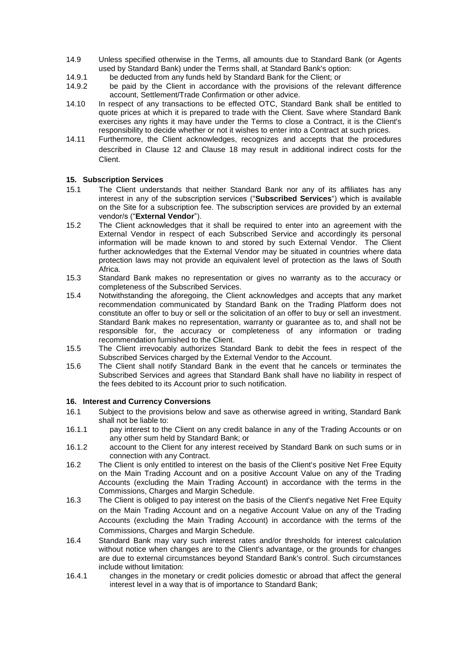- 14.9 Unless specified otherwise in the Terms, all amounts due to Standard Bank (or Agents used by Standard Bank) under the Terms shall, at Standard Bank's option:
- 14.9.1 be deducted from any funds held by Standard Bank for the Client; or
- 14.9.2 be paid by the Client in accordance with the provisions of the relevant difference account, Settlement/Trade Confirmation or other advice.
- 14.10 In respect of any transactions to be effected OTC, Standard Bank shall be entitled to quote prices at which it is prepared to trade with the Client. Save where Standard Bank exercises any rights it may have under the Terms to close a Contract, it is the Client's responsibility to decide whether or not it wishes to enter into a Contract at such prices.
- 14.11 Furthermore, the Client acknowledges, recognizes and accepts that the procedures described in Clause [12](#page-11-0) and Clause [18](#page-15-0) may result in additional indirect costs for the Client.

# **15. Subscription Services**

- 15.1 The Client understands that neither Standard Bank nor any of its affiliates has any interest in any of the subscription services ("**Subscribed Services**") which is available on the Site for a subscription fee. The subscription services are provided by an external vendor/s ("**External Vendor**").
- 15.2 The Client acknowledges that it shall be required to enter into an agreement with the External Vendor in respect of each Subscribed Service and accordingly its personal information will be made known to and stored by such External Vendor. The Client further acknowledges that the External Vendor may be situated in countries where data protection laws may not provide an equivalent level of protection as the laws of South Africa.
- 15.3 Standard Bank makes no representation or gives no warranty as to the accuracy or completeness of the Subscribed Services.
- 15.4 Notwithstanding the aforegoing, the Client acknowledges and accepts that any market recommendation communicated by Standard Bank on the Trading Platform does not constitute an offer to buy or sell or the solicitation of an offer to buy or sell an investment. Standard Bank makes no representation, warranty or guarantee as to, and shall not be responsible for, the accuracy or completeness of any information or trading recommendation furnished to the Client.
- 15.5 The Client irrevocably authorizes Standard Bank to debit the fees in respect of the Subscribed Services charged by the External Vendor to the Account.
- 15.6 The Client shall notify Standard Bank in the event that he cancels or terminates the Subscribed Services and agrees that Standard Bank shall have no liability in respect of the fees debited to its Account prior to such notification.

## <span id="page-14-0"></span>**16. Interest and Currency Conversions**

- 16.1 Subject to the provisions below and save as otherwise agreed in writing, Standard Bank shall not be liable to:
- 16.1.1 pay interest to the Client on any credit balance in any of the Trading Accounts or on any other sum held by Standard Bank; or
- 16.1.2 account to the Client for any interest received by Standard Bank on such sums or in connection with any Contract.
- 16.2 The Client is only entitled to interest on the basis of the Client's positive Net Free Equity on the Main Trading Account and on a positive Account Value on any of the Trading Accounts (excluding the Main Trading Account) in accordance with the terms in the Commissions, Charges and Margin Schedule.
- <span id="page-14-1"></span>16.3 The Client is obliged to pay interest on the basis of the Client's negative Net Free Equity on the Main Trading Account and on a negative Account Value on any of the Trading Accounts (excluding the Main Trading Account) in accordance with the terms of the Commissions, Charges and Margin Schedule.
- 16.4 Standard Bank may vary such interest rates and/or thresholds for interest calculation without notice when changes are to the Client's advantage, or the grounds for changes are due to external circumstances beyond Standard Bank's control. Such circumstances include without limitation:
- 16.4.1 changes in the monetary or credit policies domestic or abroad that affect the general interest level in a way that is of importance to Standard Bank;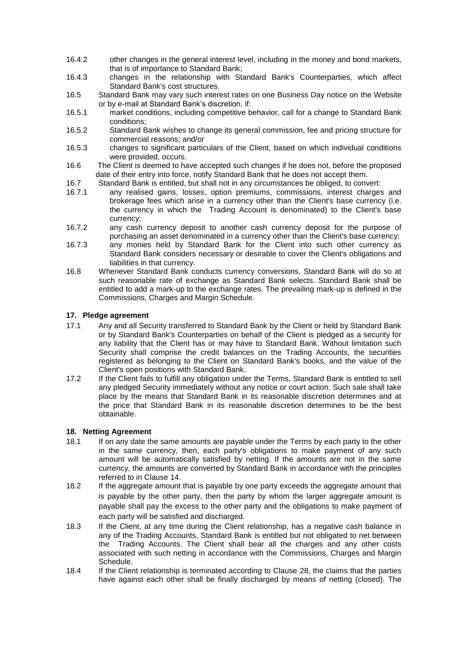- 16.4.2 other changes in the general interest level, including in the money and bond markets, that is of importance to Standard Bank;
- 16.4.3 changes in the relationship with Standard Bank's Counterparties, which affect Standard Bank's cost structures.
- 16.5 Standard Bank may vary such interest rates on one Business Day notice on the Website or by e-mail at Standard Bank's discretion, if:
- 16.5.1 market conditions, including competitive behavior, call for a change to Standard Bank conditions;
- 16.5.2 Standard Bank wishes to change its general commission, fee and pricing structure for commercial reasons; and/or
- 16.5.3 changes to significant particulars of the Client, based on which individual conditions were provided, occurs.
- 16.6 The Client is deemed to have accepted such changes if he does not, before the proposed date of their entry into force, notify Standard Bank that he does not accept them.
- 16.7 Standard Bank is entitled, but shall not in any circumstances be obliged, to convert:
- 16.7.1 any realised gains, losses, option premiums, commissions, interest charges and brokerage fees which arise in a currency other than the Client's base currency (i.e. the currency in which the Trading Account is denominated) to the Client's base currency;
- 16.7.2 any cash currency deposit to another cash currency deposit for the purpose of purchasing an asset denominated in a currency other than the Client's base currency;
- 16.7.3 any monies held by Standard Bank for the Client into such other currency as Standard Bank considers necessary or desirable to cover the Client's obligations and liabilities in that currency.
- 16.8 Whenever Standard Bank conducts currency conversions, Standard Bank will do so at such reasonable rate of exchange as Standard Bank selects. Standard Bank shall be entitled to add a mark-up to the exchange rates. The prevailing mark-up is defined in the Commissions, Charges and Margin Schedule.

## <span id="page-15-1"></span>**17. Pledge agreement**

- 17.1 Any and all Security transferred to Standard Bank by the Client or held by Standard Bank or by Standard Bank's Counterparties on behalf of the Client is pledged as a security for any liability that the Client has or may have to Standard Bank. Without limitation such Security shall comprise the credit balances on the Trading Accounts, the securities registered as belonging to the Client on Standard Bank's books, and the value of the Client's open positions with Standard Bank.
- 17.2 If the Client fails to fulfill any obligation under the Terms, Standard Bank is entitled to sell any pledged Security immediately without any notice or court action. Such sale shall take place by the means that Standard Bank in its reasonable discretion determines and at the price that Standard Bank in its reasonable discretion determines to be the best obtainable.

## <span id="page-15-0"></span>**18. Netting Agreement**

- 18.1 If on any date the same amounts are payable under the Terms by each party to the other in the same currency, then, each party's obligations to make payment of any such amount will be automatically satisfied by netting. If the amounts are not in the same currency, the amounts are converted by Standard Bank in accordance with the principles referred to in Clause [14.](#page-13-0)
- 18.2 If the aggregate amount that is payable by one party exceeds the aggregate amount that is payable by the other party, then the party by whom the larger aggregate amount is payable shall pay the excess to the other party and the obligations to make payment of each party will be satisfied and discharged.
- 18.3 If the Client, at any time during the Client relationship, has a negative cash balance in any of the Trading Accounts, Standard Bank is entitled but not obligated to net between the Trading Accounts. The Client shall bear all the charges and any other costs associated with such netting in accordance with the Commissions, Charges and Margin Schedule.
- 18.4 If the Client relationship is terminated according to Clause [28,](#page-21-0) the claims that the parties have against each other shall be finally discharged by means of netting (closed). The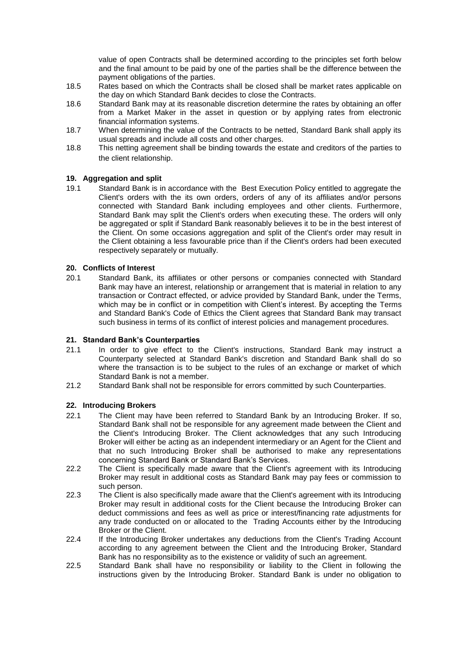value of open Contracts shall be determined according to the principles set forth below and the final amount to be paid by one of the parties shall be the difference between the payment obligations of the parties.

- 18.5 Rates based on which the Contracts shall be closed shall be market rates applicable on the day on which Standard Bank decides to close the Contracts.
- 18.6 Standard Bank may at its reasonable discretion determine the rates by obtaining an offer from a Market Maker in the asset in question or by applying rates from electronic financial information systems.
- 18.7 When determining the value of the Contracts to be netted, Standard Bank shall apply its usual spreads and include all costs and other charges.
- 18.8 This netting agreement shall be binding towards the estate and creditors of the parties to the client relationship.

## **19. Aggregation and split**

19.1 Standard Bank is in accordance with the Best Execution Policy entitled to aggregate the Client's orders with the its own orders, orders of any of its affiliates and/or persons connected with Standard Bank including employees and other clients. Furthermore, Standard Bank may split the Client's orders when executing these. The orders will only be aggregated or split if Standard Bank reasonably believes it to be in the best interest of the Client. On some occasions aggregation and split of the Client's order may result in the Client obtaining a less favourable price than if the Client's orders had been executed respectively separately or mutually.

#### **20. Conflicts of Interest**

20.1 Standard Bank, its affiliates or other persons or companies connected with Standard Bank may have an interest, relationship or arrangement that is material in relation to any transaction or Contract effected, or advice provided by Standard Bank, under the Terms, which may be in conflict or in competition with Client's interest. By accepting the Terms and Standard Bank's Code of Ethics the Client agrees that Standard Bank may transact such business in terms of its conflict of interest policies and management procedures.

#### **21. Standard Bank's Counterparties**

- 21.1 In order to give effect to the Client's instructions, Standard Bank may instruct a Counterparty selected at Standard Bank's discretion and Standard Bank shall do so where the transaction is to be subject to the rules of an exchange or market of which Standard Bank is not a member.
- 21.2 Standard Bank shall not be responsible for errors committed by such Counterparties.

#### **22. Introducing Brokers**

- 22.1 The Client may have been referred to Standard Bank by an Introducing Broker. If so, Standard Bank shall not be responsible for any agreement made between the Client and the Client's Introducing Broker. The Client acknowledges that any such Introducing Broker will either be acting as an independent intermediary or an Agent for the Client and that no such Introducing Broker shall be authorised to make any representations concerning Standard Bank or Standard Bank's Services.
- 22.2 The Client is specifically made aware that the Client's agreement with its Introducing Broker may result in additional costs as Standard Bank may pay fees or commission to such person.
- 22.3 The Client is also specifically made aware that the Client's agreement with its Introducing Broker may result in additional costs for the Client because the Introducing Broker can deduct commissions and fees as well as price or interest/financing rate adjustments for any trade conducted on or allocated to the Trading Accounts either by the Introducing Broker or the Client.
- 22.4 If the Introducing Broker undertakes any deductions from the Client's Trading Account according to any agreement between the Client and the Introducing Broker, Standard Bank has no responsibility as to the existence or validity of such an agreement.
- 22.5 Standard Bank shall have no responsibility or liability to the Client in following the instructions given by the Introducing Broker. Standard Bank is under no obligation to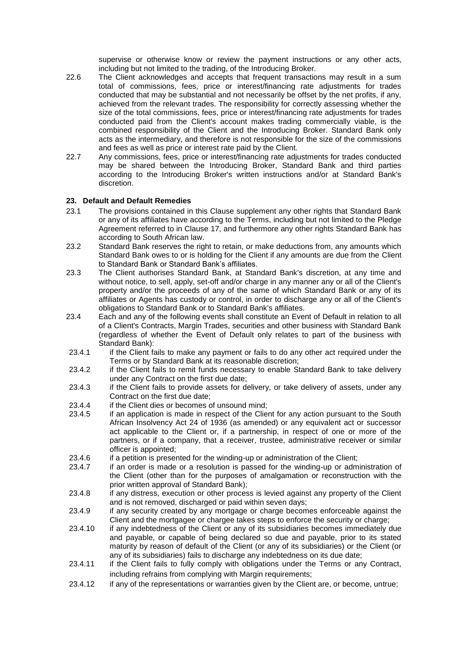supervise or otherwise know or review the payment instructions or any other acts, including but not limited to the trading, of the Introducing Broker.

- 22.6 The Client acknowledges and accepts that frequent transactions may result in a sum total of commissions, fees, price or interest/financing rate adjustments for trades conducted that may be substantial and not necessarily be offset by the net profits, if any, achieved from the relevant trades. The responsibility for correctly assessing whether the size of the total commissions, fees, price or interest/financing rate adjustments for trades conducted paid from the Client's account makes trading commercially viable, is the combined responsibility of the Client and the Introducing Broker. Standard Bank only acts as the intermediary, and therefore is not responsible for the size of the commissions and fees as well as price or interest rate paid by the Client.
- 22.7 Any commissions, fees, price or interest/financing rate adjustments for trades conducted may be shared between the Introducing Broker, Standard Bank and third parties according to the Introducing Broker's written instructions and/or at Standard Bank's discretion.

## <span id="page-17-0"></span>**23. Default and Default Remedies**

- 23.1 The provisions contained in this Clause supplement any other rights that Standard Bank or any of its affiliates have according to the Terms, including but not limited to the Pledge Agreement referred to in Clause [17,](#page-15-1) and furthermore any other rights Standard Bank has according to South African law.
- 23.2 Standard Bank reserves the right to retain, or make deductions from, any amounts which Standard Bank owes to or is holding for the Client if any amounts are due from the Client to Standard Bank or Standard Bank's affiliates.
- 23.3 The Client authorises Standard Bank, at Standard Bank's discretion, at any time and without notice, to sell, apply, set-off and/or charge in any manner any or all of the Client's property and/or the proceeds of any of the same of which Standard Bank or any of its affiliates or Agents has custody or control, in order to discharge any or all of the Client's obligations to Standard Bank or to Standard Bank's affiliates.
- 23.4 Each and any of the following events shall constitute an Event of Default in relation to all of a Client's Contracts, Margin Trades, securities and other business with Standard Bank (regardless of whether the Event of Default only relates to part of the business with Standard Bank):
- 23.4.1 if the Client fails to make any payment or fails to do any other act required under the Terms or by Standard Bank at its reasonable discretion;
- 23.4.2 if the Client fails to remit funds necessary to enable Standard Bank to take delivery under any Contract on the first due date;
- 23.4.3 if the Client fails to provide assets for delivery, or take delivery of assets, under any Contract on the first due date;
- 23.4.4 if the Client dies or becomes of unsound mind;
- 23.4.5 if an application is made in respect of the Client for any action pursuant to the South African Insolvency Act 24 of 1936 (as amended) or any equivalent act or successor act applicable to the Client or, if a partnership, in respect of one or more of the partners, or if a company, that a receiver, trustee, administrative receiver or similar officer is appointed;
- 23.4.6 if a petition is presented for the winding-up or administration of the Client;
- 23.4.7 if an order is made or a resolution is passed for the winding-up or administration of the Client (other than for the purposes of amalgamation or reconstruction with the prior written approval of Standard Bank);
- 23.4.8 if any distress, execution or other process is levied against any property of the Client and is not removed, discharged or paid within seven days;
- 23.4.9 if any security created by any mortgage or charge becomes enforceable against the Client and the mortgagee or chargee takes steps to enforce the security or charge;
- 23.4.10 if any indebtedness of the Client or any of its subsidiaries becomes immediately due and payable, or capable of being declared so due and payable, prior to its stated maturity by reason of default of the Client (or any of its subsidiaries) or the Client (or any of its subsidiaries) fails to discharge any indebtedness on its due date;
- 23.4.11 if the Client fails to fully comply with obligations under the Terms or any Contract, including refrains from complying with Margin requirements;
- 23.4.12 if any of the representations or warranties given by the Client are, or become, untrue;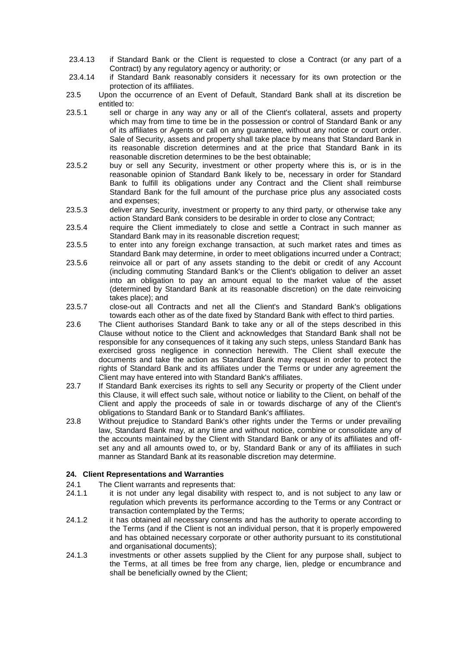- 23.4.13 if Standard Bank or the Client is requested to close a Contract (or any part of a Contract) by any regulatory agency or authority; or
- 23.4.14 if Standard Bank reasonably considers it necessary for its own protection or the protection of its affiliates.
- 23.5 Upon the occurrence of an Event of Default, Standard Bank shall at its discretion be entitled to:
- 23.5.1 sell or charge in any way any or all of the Client's collateral, assets and property which may from time to time be in the possession or control of Standard Bank or any of its affiliates or Agents or call on any guarantee, without any notice or court order. Sale of Security, assets and property shall take place by means that Standard Bank in its reasonable discretion determines and at the price that Standard Bank in its reasonable discretion determines to be the best obtainable;
- 23.5.2 buy or sell any Security, investment or other property where this is, or is in the reasonable opinion of Standard Bank likely to be, necessary in order for Standard Bank to fulfill its obligations under any Contract and the Client shall reimburse Standard Bank for the full amount of the purchase price plus any associated costs and expenses;
- 23.5.3 deliver any Security, investment or property to any third party, or otherwise take any action Standard Bank considers to be desirable in order to close any Contract;
- 23.5.4 require the Client immediately to close and settle a Contract in such manner as Standard Bank may in its reasonable discretion request;
- 23.5.5 to enter into any foreign exchange transaction, at such market rates and times as Standard Bank may determine, in order to meet obligations incurred under a Contract; 23.5.6 reinvoice all or part of any assets standing to the debit or credit of any Account (including commuting Standard Bank's or the Client's obligation to deliver an asset into an obligation to pay an amount equal to the market value of the asset (determined by Standard Bank at its reasonable discretion) on the date reinvoicing
- takes place); and 23.5.7 close-out all Contracts and net all the Client's and Standard Bank's obligations towards each other as of the date fixed by Standard Bank with effect to third parties.
- 23.6 The Client authorises Standard Bank to take any or all of the steps described in this Clause without notice to the Client and acknowledges that Standard Bank shall not be responsible for any consequences of it taking any such steps, unless Standard Bank has exercised gross negligence in connection herewith. The Client shall execute the documents and take the action as Standard Bank may request in order to protect the rights of Standard Bank and its affiliates under the Terms or under any agreement the Client may have entered into with Standard Bank's affiliates.
- 23.7 If Standard Bank exercises its rights to sell any Security or property of the Client under this Clause, it will effect such sale, without notice or liability to the Client, on behalf of the Client and apply the proceeds of sale in or towards discharge of any of the Client's obligations to Standard Bank or to Standard Bank's affiliates.
- 23.8 Without prejudice to Standard Bank's other rights under the Terms or under prevailing law, Standard Bank may, at any time and without notice, combine or consolidate any of the accounts maintained by the Client with Standard Bank or any of its affiliates and offset any and all amounts owed to, or by, Standard Bank or any of its affiliates in such manner as Standard Bank at its reasonable discretion may determine.

## **24. Client Representations and Warranties**

- 24.1 The Client warrants and represents that:
- 24.1.1 it is not under any legal disability with respect to, and is not subject to any law or regulation which prevents its performance according to the Terms or any Contract or transaction contemplated by the Terms;
- 24.1.2 it has obtained all necessary consents and has the authority to operate according to the Terms (and if the Client is not an individual person, that it is properly empowered and has obtained necessary corporate or other authority pursuant to its constitutional and organisational documents);
- 24.1.3 investments or other assets supplied by the Client for any purpose shall, subject to the Terms, at all times be free from any charge, lien, pledge or encumbrance and shall be beneficially owned by the Client;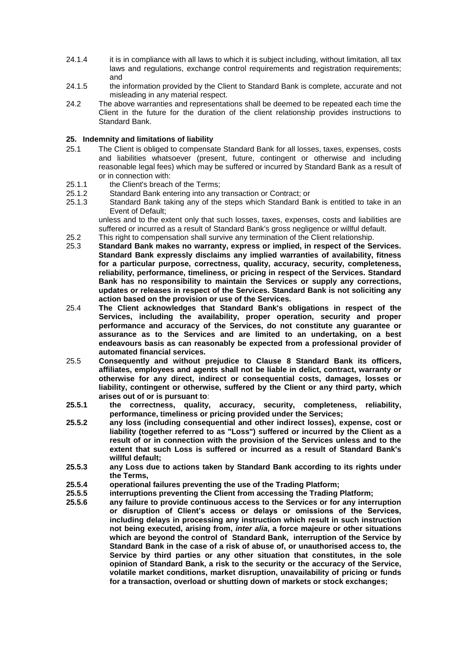- 24.1.4 it is in compliance with all laws to which it is subject including, without limitation, all tax laws and regulations, exchange control requirements and registration requirements; and
- 24.1.5 the information provided by the Client to Standard Bank is complete, accurate and not misleading in any material respect.
- 24.2 The above warranties and representations shall be deemed to be repeated each time the Client in the future for the duration of the client relationship provides instructions to Standard Bank.

#### **25. Indemnity and limitations of liability**

- 25.1 The Client is obliged to compensate Standard Bank for all losses, taxes, expenses, costs and liabilities whatsoever (present, future, contingent or otherwise and including reasonable legal fees) which may be suffered or incurred by Standard Bank as a result of or in connection with:
- 25.1.1 the Client's breach of the Terms;
- 25.1.2 Standard Bank entering into any transaction or Contract; or
- 25.1.3 Standard Bank taking any of the steps which Standard Bank is entitled to take in an Event of Default;

unless and to the extent only that such losses, taxes, expenses, costs and liabilities are suffered or incurred as a result of Standard Bank's gross negligence or willful default.

- 25.2 This right to compensation shall survive any termination of the Client relationship.
- 25.3 **Standard Bank makes no warranty, express or implied, in respect of the Services. Standard Bank expressly disclaims any implied warranties of availability, fitness for a particular purpose, correctness, quality, accuracy, security, completeness, reliability, performance, timeliness, or pricing in respect of the Services. Standard Bank has no responsibility to maintain the Services or supply any corrections, updates or releases in respect of the Services. Standard Bank is not soliciting any action based on the provision or use of the Services.**
- 25.4 **The Client acknowledges that Standard Bank's obligations in respect of the Services, including the availability, proper operation, security and proper performance and accuracy of the Services, do not constitute any guarantee or assurance as to the Services and are limited to an undertaking, on a best endeavours basis as can reasonably be expected from a professional provider of automated financial services.**
- <span id="page-19-0"></span>25.5 **Consequently and without prejudice to Clause [8](#page-8-0) Standard Bank its officers, affiliates, employees and agents shall not be liable in delict, contract, warranty or otherwise for any direct, indirect or consequential costs, damages, losses or liability, contingent or otherwise, suffered by the Client or any third party, which arises out of or is pursuant to**:
- **25.5.1 the correctness, quality, accuracy, security, completeness, reliability, performance, timeliness or pricing provided under the Services;**
- **25.5.2 any loss (including consequential and other indirect losses), expense, cost or liability (together referred to as "Loss") suffered or incurred by the Client as a result of or in connection with the provision of the Services unless and to the extent that such Loss is suffered or incurred as a result of Standard Bank's willful default;**
- **25.5.3 any Loss due to actions taken by Standard Bank according to its rights under the Terms,**
- **25.5.4 operational failures preventing the use of the Trading Platform;**
- **25.5.5 interruptions preventing the Client from accessing the Trading Platform;**
- **25.5.6 any failure to provide continuous access to the Services or for any interruption or disruption of Client's access or delays or omissions of the Services, including delays in processing any instruction which result in such instruction not being executed, arising from,** *inter alia***, a force majeure or other situations which are beyond the control of Standard Bank, interruption of the Service by Standard Bank in the case of a risk of abuse of, or unauthorised access to, the Service by third parties or any other situation that constitutes, in the sole opinion of Standard Bank, a risk to the security or the accuracy of the Service, volatile market conditions, market disruption, unavailability of pricing or funds for a transaction, overload or shutting down of markets or stock exchanges;**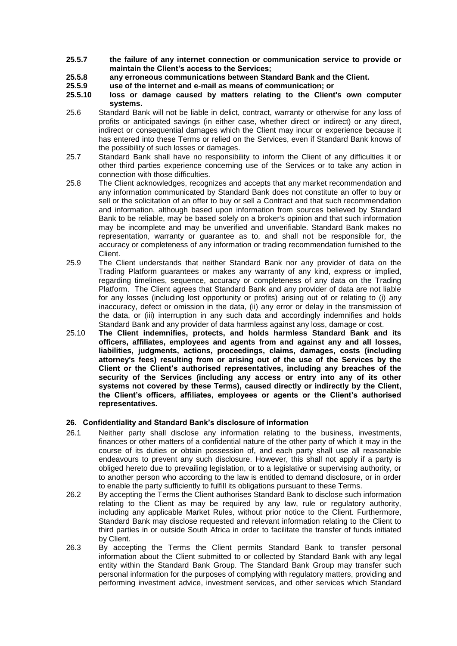- **25.5.7 the failure of any internet connection or communication service to provide or maintain the Client's access to the Services;**
- **25.5.8 any erroneous communications between Standard Bank and the Client.**
- **25.5.9 use of the internet and e-mail as means of communication; or**
- **25.5.10 loss or damage caused by matters relating to the Client's own computer systems.**
- 25.6 Standard Bank will not be liable in delict, contract, warranty or otherwise for any loss of profits or anticipated savings (in either case, whether direct or indirect) or any direct, indirect or consequential damages which the Client may incur or experience because it has entered into these Terms or relied on the Services, even if Standard Bank knows of the possibility of such losses or damages.
- 25.7 Standard Bank shall have no responsibility to inform the Client of any difficulties it or other third parties experience concerning use of the Services or to take any action in connection with those difficulties.
- 25.8 The Client acknowledges, recognizes and accepts that any market recommendation and any information communicated by Standard Bank does not constitute an offer to buy or sell or the solicitation of an offer to buy or sell a Contract and that such recommendation and information, although based upon information from sources believed by Standard Bank to be reliable, may be based solely on a broker's opinion and that such information may be incomplete and may be unverified and unverifiable. Standard Bank makes no representation, warranty or guarantee as to, and shall not be responsible for, the accuracy or completeness of any information or trading recommendation furnished to the Client.
- 25.9 The Client understands that neither Standard Bank nor any provider of data on the Trading Platform guarantees or makes any warranty of any kind, express or implied, regarding timelines, sequence, accuracy or completeness of any data on the Trading Platform. The Client agrees that Standard Bank and any provider of data are not liable for any losses (including lost opportunity or profits) arising out of or relating to (i) any inaccuracy, defect or omission in the data, (ii) any error or delay in the transmission of the data, or (iii) interruption in any such data and accordingly indemnifies and holds Standard Bank and any provider of data harmless against any loss, damage or cost.
- 25.10 **The Client indemnifies, protects, and holds harmless Standard Bank and its officers, affiliates, employees and agents from and against any and all losses, liabilities, judgments, actions, proceedings, claims, damages, costs (including attorney's fees) resulting from or arising out of the use of the Services by the Client or the Client's authorised representatives, including any breaches of the security of the Services (including any access or entry into any of its other systems not covered by these Terms), caused directly or indirectly by the Client, the Client's officers, affiliates, employees or agents or the Client's authorised representatives.**

## **26. Confidentiality and Standard Bank's disclosure of information**

- 26.1 Neither party shall disclose any information relating to the business, investments, finances or other matters of a confidential nature of the other party of which it may in the course of its duties or obtain possession of, and each party shall use all reasonable endeavours to prevent any such disclosure. However, this shall not apply if a party is obliged hereto due to prevailing legislation, or to a legislative or supervising authority, or to another person who according to the law is entitled to demand disclosure, or in order to enable the party sufficiently to fulfill its obligations pursuant to these Terms.
- 26.2 By accepting the Terms the Client authorises Standard Bank to disclose such information relating to the Client as may be required by any law, rule or regulatory authority, including any applicable Market Rules, without prior notice to the Client. Furthermore, Standard Bank may disclose requested and relevant information relating to the Client to third parties in or outside South Africa in order to facilitate the transfer of funds initiated by Client.
- 26.3 By accepting the Terms the Client permits Standard Bank to transfer personal information about the Client submitted to or collected by Standard Bank with any legal entity within the Standard Bank Group. The Standard Bank Group may transfer such personal information for the purposes of complying with regulatory matters, providing and performing investment advice, investment services, and other services which Standard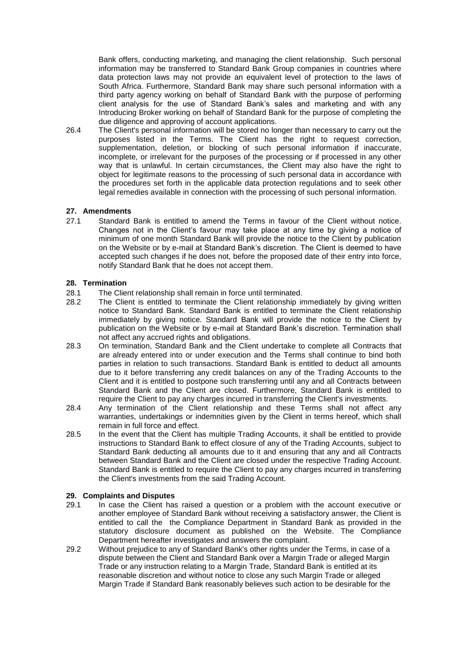Bank offers, conducting marketing, and managing the client relationship. Such personal information may be transferred to Standard Bank Group companies in countries where data protection laws may not provide an equivalent level of protection to the laws of South Africa. Furthermore, Standard Bank may share such personal information with a third party agency working on behalf of Standard Bank with the purpose of performing client analysis for the use of Standard Bank's sales and marketing and with any Introducing Broker working on behalf of Standard Bank for the purpose of completing the due diligence and approving of account applications.

26.4 The Client's personal information will be stored no longer than necessary to carry out the purposes listed in the Terms. The Client has the right to request correction, supplementation, deletion, or blocking of such personal information if inaccurate, incomplete, or irrelevant for the purposes of the processing or if processed in any other way that is unlawful. In certain circumstances, the Client may also have the right to object for legitimate reasons to the processing of such personal data in accordance with the procedures set forth in the applicable data protection regulations and to seek other legal remedies available in connection with the processing of such personal information.

#### **27. Amendments**

27.1 Standard Bank is entitled to amend the Terms in favour of the Client without notice. Changes not in the Client's favour may take place at any time by giving a notice of minimum of one month Standard Bank will provide the notice to the Client by publication on the Website or by e-mail at Standard Bank's discretion. The Client is deemed to have accepted such changes if he does not, before the proposed date of their entry into force, notify Standard Bank that he does not accept them.

## <span id="page-21-0"></span>**28. Termination**

- 28.1 The Client relationship shall remain in force until terminated.
- 28.2 The Client is entitled to terminate the Client relationship immediately by giving written notice to Standard Bank. Standard Bank is entitled to terminate the Client relationship immediately by giving notice. Standard Bank will provide the notice to the Client by publication on the Website or by e-mail at Standard Bank's discretion. Termination shall not affect any accrued rights and obligations.
- 28.3 On termination, Standard Bank and the Client undertake to complete all Contracts that are already entered into or under execution and the Terms shall continue to bind both parties in relation to such transactions. Standard Bank is entitled to deduct all amounts due to it before transferring any credit balances on any of the Trading Accounts to the Client and it is entitled to postpone such transferring until any and all Contracts between Standard Bank and the Client are closed. Furthermore, Standard Bank is entitled to require the Client to pay any charges incurred in transferring the Client's investments.
- 28.4 Any termination of the Client relationship and these Terms shall not affect any warranties, undertakings or indemnities given by the Client in terms hereof, which shall remain in full force and effect.
- 28.5 In the event that the Client has multiple Trading Accounts, it shall be entitled to provide instructions to Standard Bank to effect closure of any of the Trading Accounts, subject to Standard Bank deducting all amounts due to it and ensuring that any and all Contracts between Standard Bank and the Client are closed under the respective Trading Account. Standard Bank is entitled to require the Client to pay any charges incurred in transferring the Client's investments from the said Trading Account.

#### **29. Complaints and Disputes**

- 29.1 In case the Client has raised a question or a problem with the account executive or another employee of Standard Bank without receiving a satisfactory answer, the Client is entitled to call the the Compliance Department in Standard Bank as provided in the statutory disclosure document as published on the Website. The Compliance Department hereafter investigates and answers the complaint.
- 29.2 Without prejudice to any of Standard Bank's other rights under the Terms, in case of a dispute between the Client and Standard Bank over a Margin Trade or alleged Margin Trade or any instruction relating to a Margin Trade, Standard Bank is entitled at its reasonable discretion and without notice to close any such Margin Trade or alleged Margin Trade if Standard Bank reasonably believes such action to be desirable for the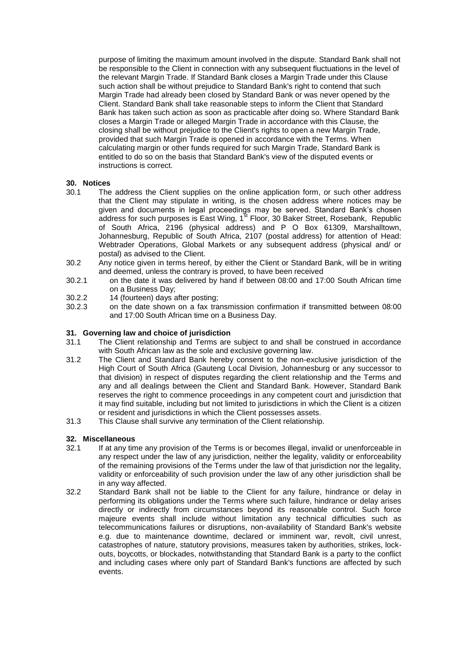purpose of limiting the maximum amount involved in the dispute. Standard Bank shall not be responsible to the Client in connection with any subsequent fluctuations in the level of the relevant Margin Trade. If Standard Bank closes a Margin Trade under this Clause such action shall be without prejudice to Standard Bank's right to contend that such Margin Trade had already been closed by Standard Bank or was never opened by the Client. Standard Bank shall take reasonable steps to inform the Client that Standard Bank has taken such action as soon as practicable after doing so. Where Standard Bank closes a Margin Trade or alleged Margin Trade in accordance with this Clause, the closing shall be without prejudice to the Client's rights to open a new Margin Trade, provided that such Margin Trade is opened in accordance with the Terms. When calculating margin or other funds required for such Margin Trade, Standard Bank is entitled to do so on the basis that Standard Bank's view of the disputed events or instructions is correct.

## **30. Notices**

- 30.1 The address the Client supplies on the online application form, or such other address that the Client may stipulate in writing, is the chosen address where notices may be given and documents in legal proceedings may be served. Standard Bank's chosen address for such purposes is East Wing,  $1^{st}$  Floor, 30 Baker Street, Rosebank, Republic of South Africa, 2196 (physical address) and P O Box 61309, Marshalltown, Johannesburg, Republic of South Africa, 2107 (postal address) for attention of Head: Webtrader Operations, Global Markets or any subsequent address (physical and/ or postal) as advised to the Client.
- 30.2 Any notice given in terms hereof, by either the Client or Standard Bank, will be in writing and deemed, unless the contrary is proved, to have been received
- 30.2.1 on the date it was delivered by hand if between 08:00 and 17:00 South African time on a Business Day;
- 30.2.2 14 (fourteen) days after posting;<br>30.2.3 on the date shown on a fax tra
- 30.2.3 on the date shown on a fax transmission confirmation if transmitted between 08:00 and 17:00 South African time on a Business Day.

#### **31. Governing law and choice of jurisdiction**

- 31.1 The Client relationship and Terms are subject to and shall be construed in accordance with South African law as the sole and exclusive governing law.
- 31.2 The Client and Standard Bank hereby consent to the non-exclusive jurisdiction of the High Court of South Africa (Gauteng Local Division, Johannesburg or any successor to that division) in respect of disputes regarding the client relationship and the Terms and any and all dealings between the Client and Standard Bank. However, Standard Bank reserves the right to commence proceedings in any competent court and jurisdiction that it may find suitable, including but not limited to jurisdictions in which the Client is a citizen or resident and jurisdictions in which the Client possesses assets.
- 31.3 This Clause shall survive any termination of the Client relationship.

#### **32. Miscellaneous**

- 32.1 If at any time any provision of the Terms is or becomes illegal, invalid or unenforceable in any respect under the law of any jurisdiction, neither the legality, validity or enforceability of the remaining provisions of the Terms under the law of that jurisdiction nor the legality, validity or enforceability of such provision under the law of any other jurisdiction shall be in any way affected.
- <span id="page-22-0"></span>32.2 Standard Bank shall not be liable to the Client for any failure, hindrance or delay in performing its obligations under the Terms where such failure, hindrance or delay arises directly or indirectly from circumstances beyond its reasonable control. Such force majeure events shall include without limitation any technical difficulties such as telecommunications failures or disruptions, non-availability of Standard Bank's website e.g. due to maintenance downtime, declared or imminent war, revolt, civil unrest, catastrophes of nature, statutory provisions, measures taken by authorities, strikes, lockouts, boycotts, or blockades, notwithstanding that Standard Bank is a party to the conflict and including cases where only part of Standard Bank's functions are affected by such events.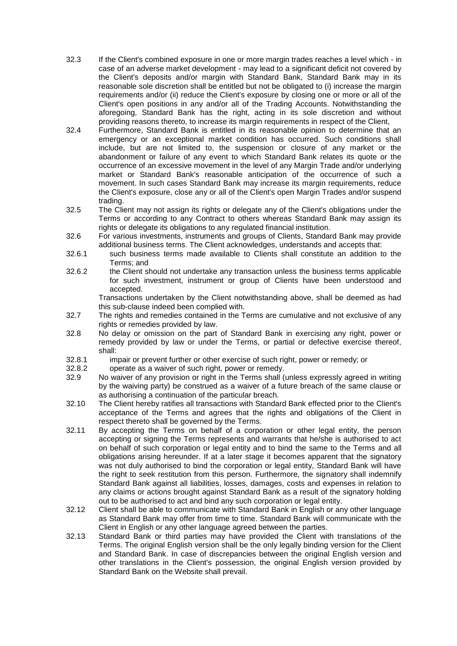- 32.3 If the Client's combined exposure in one or more margin trades reaches a level which in case of an adverse market development - may lead to a significant deficit not covered by the Client's deposits and/or margin with Standard Bank, Standard Bank may in its reasonable sole discretion shall be entitled but not be obligated to (i) increase the margin requirements and/or (ii) reduce the Client's exposure by closing one or more or all of the Client's open positions in any and/or all of the Trading Accounts. Notwithstanding the aforegoing, Standard Bank has the right, acting in its sole discretion and without providing reasons thereto, to increase its margin requirements in respect of the Client,
- 32.4 Furthermore, Standard Bank is entitled in its reasonable opinion to determine that an emergency or an exceptional market condition has occurred. Such conditions shall include, but are not limited to, the suspension or closure of any market or the abandonment or failure of any event to which Standard Bank relates its quote or the occurrence of an excessive movement in the level of any Margin Trade and/or underlying market or Standard Bank's reasonable anticipation of the occurrence of such a movement. In such cases Standard Bank may increase its margin requirements, reduce the Client's exposure, close any or all of the Client's open Margin Trades and/or suspend trading.
- 32.5 The Client may not assign its rights or delegate any of the Client's obligations under the Terms or according to any Contract to others whereas Standard Bank may assign its rights or delegate its obligations to any regulated financial institution.
- 32.6 For various investments, instruments and groups of Clients, Standard Bank may provide additional business terms. The Client acknowledges, understands and accepts that:
- 32.6.1 such business terms made available to Clients shall constitute an addition to the Terms; and
- 32.6.2 the Client should not undertake any transaction unless the business terms applicable for such investment, instrument or group of Clients have been understood and accepted.

Transactions undertaken by the Client notwithstanding above, shall be deemed as had this sub-clause indeed been complied with.

- 32.7 The rights and remedies contained in the Terms are cumulative and not exclusive of any rights or remedies provided by law.
- 32.8 No delay or omission on the part of Standard Bank in exercising any right, power or remedy provided by law or under the Terms, or partial or defective exercise thereof, shall:
- 32.8.1 impair or prevent further or other exercise of such right, power or remedy; or
- 32.8.2 operate as a waiver of such right, power or remedy.
- 32.9 No waiver of any provision or right in the Terms shall (unless expressly agreed in writing by the waiving party) be construed as a waiver of a future breach of the same clause or as authorising a continuation of the particular breach.
- 32.10 The Client hereby ratifies all transactions with Standard Bank effected prior to the Client's acceptance of the Terms and agrees that the rights and obligations of the Client in respect thereto shall be governed by the Terms.
- 32.11 By accepting the Terms on behalf of a corporation or other legal entity, the person accepting or signing the Terms represents and warrants that he/she is authorised to act on behalf of such corporation or legal entity and to bind the same to the Terms and all obligations arising hereunder. If at a later stage it becomes apparent that the signatory was not duly authorised to bind the corporation or legal entity, Standard Bank will have the right to seek restitution from this person. Furthermore, the signatory shall indemnify Standard Bank against all liabilities, losses, damages, costs and expenses in relation to any claims or actions brought against Standard Bank as a result of the signatory holding out to be authorised to act and bind any such corporation or legal entity.
- 32.12 Client shall be able to communicate with Standard Bank in English or any other language as Standard Bank may offer from time to time. Standard Bank will communicate with the Client in English or any other language agreed between the parties.
- 32.13 Standard Bank or third parties may have provided the Client with translations of the Terms. The original English version shall be the only legally binding version for the Client and Standard Bank. In case of discrepancies between the original English version and other translations in the Client's possession, the original English version provided by Standard Bank on the Website shall prevail.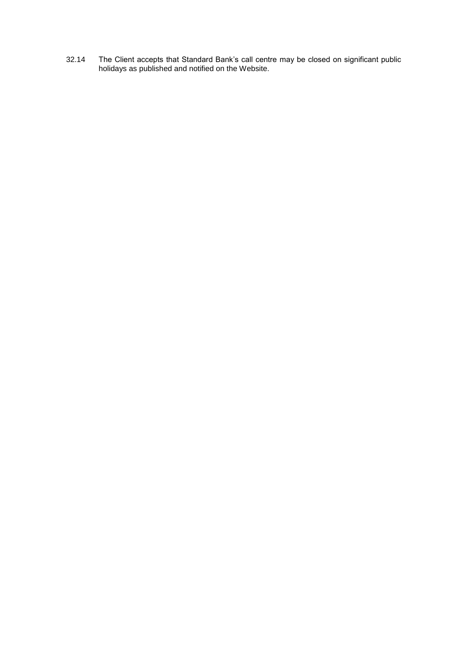32.14 The Client accepts that Standard Bank's call centre may be closed on significant public holidays as published and notified on the Website.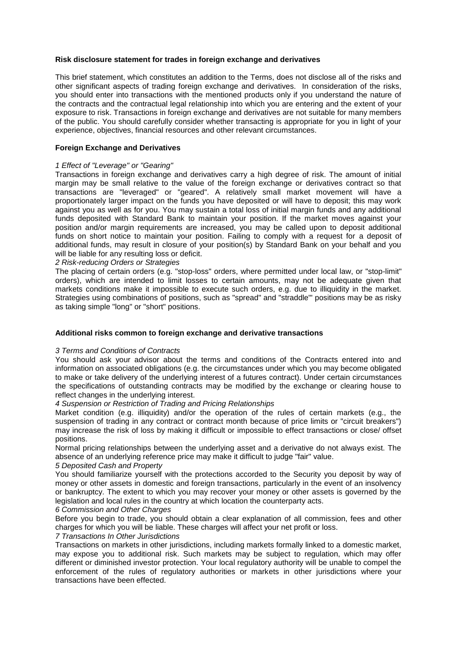#### **Risk disclosure statement for trades in foreign exchange and derivatives**

This brief statement, which constitutes an addition to the Terms, does not disclose all of the risks and other significant aspects of trading foreign exchange and derivatives. In consideration of the risks, you should enter into transactions with the mentioned products only if you understand the nature of the contracts and the contractual legal relationship into which you are entering and the extent of your exposure to risk. Transactions in foreign exchange and derivatives are not suitable for many members of the public. You should carefully consider whether transacting is appropriate for you in light of your experience, objectives, financial resources and other relevant circumstances.

#### **Foreign Exchange and Derivatives**

#### *1 Effect of "Leverage" or "Gearing"*

Transactions in foreign exchange and derivatives carry a high degree of risk. The amount of initial margin may be small relative to the value of the foreign exchange or derivatives contract so that transactions are "leveraged" or "geared". A relatively small market movement will have a proportionately larger impact on the funds you have deposited or will have to deposit; this may work against you as well as for you. You may sustain a total loss of initial margin funds and any additional funds deposited with Standard Bank to maintain your position. If the market moves against your position and/or margin requirements are increased, you may be called upon to deposit additional funds on short notice to maintain your position. Failing to comply with a request for a deposit of additional funds, may result in closure of your position(s) by Standard Bank on your behalf and you will be liable for any resulting loss or deficit.

#### *2 Risk-reducing Orders or Strategies*

The placing of certain orders (e.g. "stop-loss" orders, where permitted under local law, or "stop-limit" orders), which are intended to limit losses to certain amounts, may not be adequate given that markets conditions make it impossible to execute such orders, e.g. due to illiquidity in the market. Strategies using combinations of positions, such as "spread" and "straddle"' positions may be as risky as taking simple "long" or "short" positions.

#### **Additional risks common to foreign exchange and derivative transactions**

#### *3 Terms and Conditions of Contracts*

You should ask your advisor about the terms and conditions of the Contracts entered into and information on associated obligations (e.g. the circumstances under which you may become obligated to make or take delivery of the underlying interest of a futures contract). Under certain circumstances the specifications of outstanding contracts may be modified by the exchange or clearing house to reflect changes in the underlying interest.

#### *4 Suspension or Restriction of Trading and Pricing Relationships*

Market condition (e.g. illiquidity) and/or the operation of the rules of certain markets (e.g., the suspension of trading in any contract or contract month because of price limits or "circuit breakers") may increase the risk of loss by making it difficult or impossible to effect transactions or close/ offset positions.

Normal pricing relationships between the underlying asset and a derivative do not always exist. The absence of an underlying reference price may make it difficult to judge "fair" value.

## *5 Deposited Cash and Property*

You should familiarize yourself with the protections accorded to the Security you deposit by way of money or other assets in domestic and foreign transactions, particularly in the event of an insolvency or bankruptcy. The extent to which you may recover your money or other assets is governed by the legislation and local rules in the country at which location the counterparty acts.

#### *6 Commission and Other Charges*

Before you begin to trade, you should obtain a clear explanation of all commission, fees and other charges for which you will be liable. These charges will affect your net profit or loss.

#### *7 Transactions In Other Jurisdictions*

Transactions on markets in other jurisdictions, including markets formally linked to a domestic market, may expose you to additional risk. Such markets may be subject to regulation, which may offer different or diminished investor protection. Your local regulatory authority will be unable to compel the enforcement of the rules of regulatory authorities or markets in other jurisdictions where your transactions have been effected.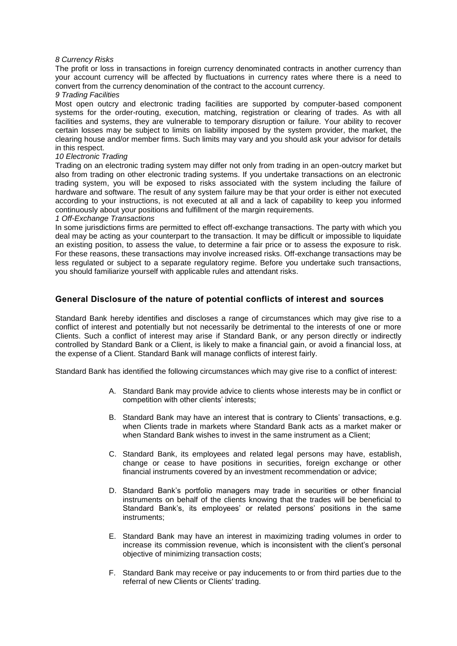#### *8 Currency Risks*

The profit or loss in transactions in foreign currency denominated contracts in another currency than your account currency will be affected by fluctuations in currency rates where there is a need to convert from the currency denomination of the contract to the account currency.

#### *9 Trading Facilities*

Most open outcry and electronic trading facilities are supported by computer-based component systems for the order-routing, execution, matching, registration or clearing of trades. As with all facilities and systems, they are vulnerable to temporary disruption or failure. Your ability to recover certain losses may be subject to limits on liability imposed by the system provider, the market, the clearing house and/or member firms. Such limits may vary and you should ask your advisor for details in this respect.

#### *10 Electronic Trading*

Trading on an electronic trading system may differ not only from trading in an open-outcry market but also from trading on other electronic trading systems. If you undertake transactions on an electronic trading system, you will be exposed to risks associated with the system including the failure of hardware and software. The result of any system failure may be that your order is either not executed according to your instructions, is not executed at all and a lack of capability to keep you informed continuously about your positions and fulfillment of the margin requirements.

#### *1 Off-Exchange Transactions*

In some jurisdictions firms are permitted to effect off-exchange transactions. The party with which you deal may be acting as your counterpart to the transaction. It may be difficult or impossible to liquidate an existing position, to assess the value, to determine a fair price or to assess the exposure to risk. For these reasons, these transactions may involve increased risks. Off-exchange transactions may be less regulated or subject to a separate regulatory regime. Before you undertake such transactions, you should familiarize yourself with applicable rules and attendant risks.

## **General Disclosure of the nature of potential conflicts of interest and sources**

Standard Bank hereby identifies and discloses a range of circumstances which may give rise to a conflict of interest and potentially but not necessarily be detrimental to the interests of one or more Clients. Such a conflict of interest may arise if Standard Bank, or any person directly or indirectly controlled by Standard Bank or a Client, is likely to make a financial gain, or avoid a financial loss, at the expense of a Client. Standard Bank will manage conflicts of interest fairly.

Standard Bank has identified the following circumstances which may give rise to a conflict of interest:

- A. Standard Bank may provide advice to clients whose interests may be in conflict or competition with other clients' interests;
- B. Standard Bank may have an interest that is contrary to Clients' transactions, e.g. when Clients trade in markets where Standard Bank acts as a market maker or when Standard Bank wishes to invest in the same instrument as a Client;
- C. Standard Bank, its employees and related legal persons may have, establish, change or cease to have positions in securities, foreign exchange or other financial instruments covered by an investment recommendation or advice;
- D. Standard Bank's portfolio managers may trade in securities or other financial instruments on behalf of the clients knowing that the trades will be beneficial to Standard Bank's, its employees' or related persons' positions in the same instruments;
- E. Standard Bank may have an interest in maximizing trading volumes in order to increase its commission revenue, which is inconsistent with the client's personal objective of minimizing transaction costs;
- F. Standard Bank may receive or pay inducements to or from third parties due to the referral of new Clients or Clients' trading.